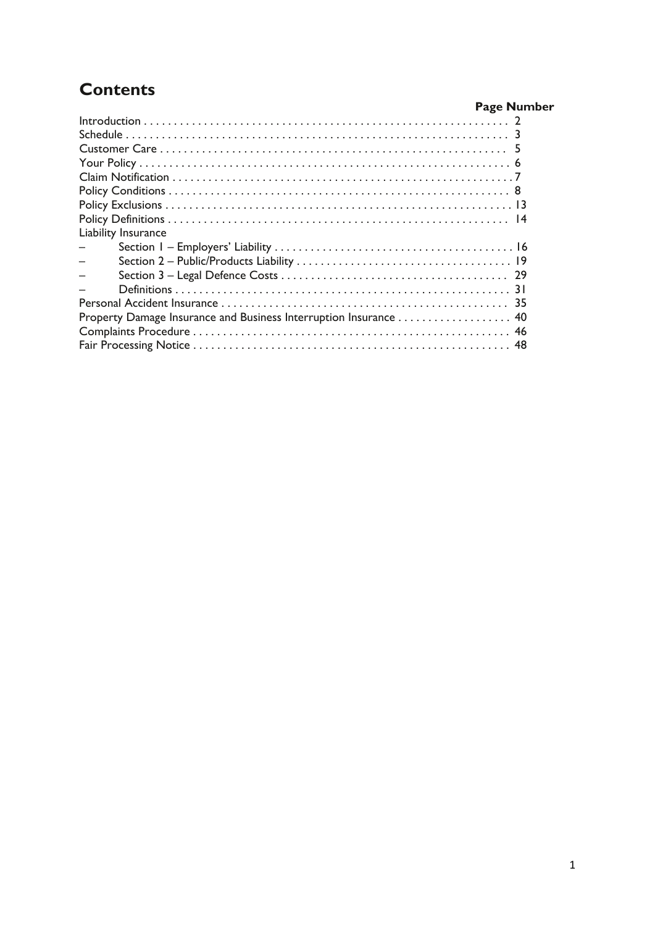# **Contents**

| чинспе                                                           |                    |
|------------------------------------------------------------------|--------------------|
|                                                                  | <b>Page Number</b> |
|                                                                  |                    |
|                                                                  |                    |
|                                                                  |                    |
|                                                                  |                    |
|                                                                  |                    |
|                                                                  |                    |
|                                                                  |                    |
|                                                                  |                    |
| Liability Insurance                                              |                    |
|                                                                  |                    |
|                                                                  |                    |
|                                                                  |                    |
|                                                                  |                    |
|                                                                  |                    |
| Property Damage Insurance and Business Interruption Insurance 40 |                    |
|                                                                  |                    |
|                                                                  |                    |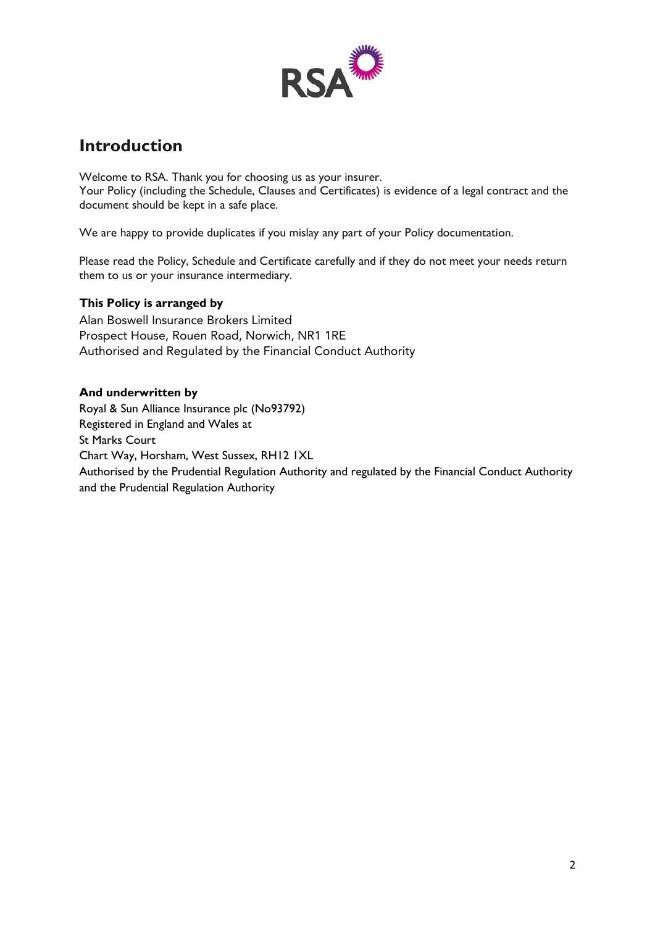

## **Introduction**

Welcome to RSA. Thank you for choosing us as your insurer. Your Policy (including the Schedule, Clauses and Certificates) is evidence of a legal contract and the document should be kept in a safe place.

We are happy to provide duplicates if you mislay any part of your Policy documentation.

Please read the Policy, Schedule and Certificate carefully and if they do not meet your needs return them to us or your insurance intermediary.

## **This Policy is arranged by**

Alan Boswell Insurance Brokers Limited Prospect House, Rouen Road, Norwich, NR1 1RE Authorised and Regulated by the Financial Conduct Authority

## **And underwritten by**

Royal & Sun Alliance Insurance plc (No93792) Registered in England and Wales at St Marks Court Chart Way, Horsham, West Sussex, RH12 1XL Authorised by the Prudential Regulation Authority and regulated by the Financial Conduct Authority and the Prudential Regulation Authority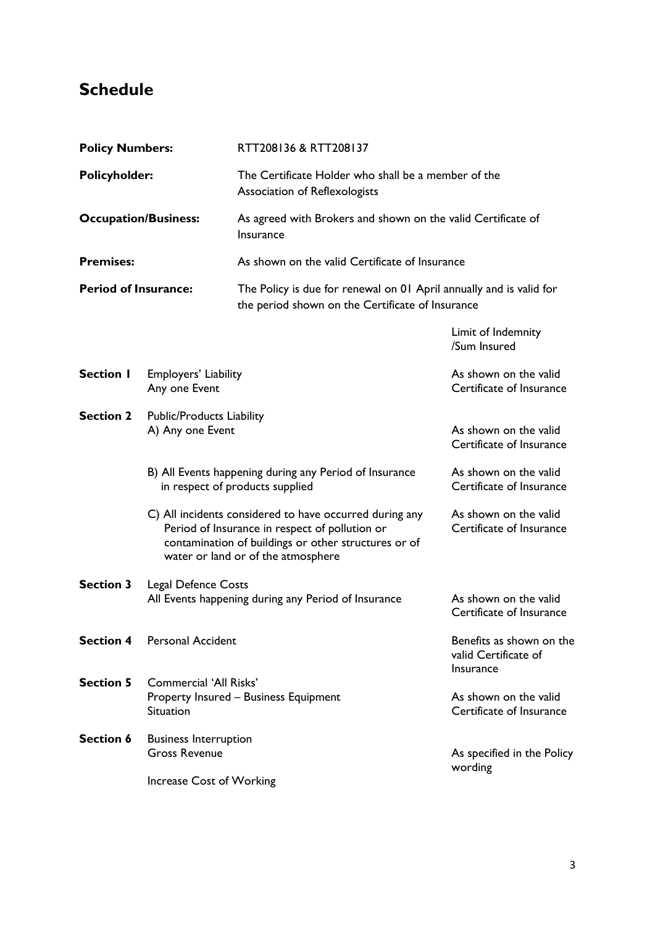# **Schedule**

| <b>Policy Numbers:</b>                              |                                                                                                                                                                                                         | RTT208136 & RTT208137                                                                                                   |                                                               |  |
|-----------------------------------------------------|---------------------------------------------------------------------------------------------------------------------------------------------------------------------------------------------------------|-------------------------------------------------------------------------------------------------------------------------|---------------------------------------------------------------|--|
| <b>Policyholder:</b><br><b>Occupation/Business:</b> |                                                                                                                                                                                                         | Association of Reflexologists                                                                                           | The Certificate Holder who shall be a member of the           |  |
|                                                     |                                                                                                                                                                                                         | As agreed with Brokers and shown on the valid Certificate of<br>Insurance                                               |                                                               |  |
| <b>Premises:</b>                                    |                                                                                                                                                                                                         | As shown on the valid Certificate of Insurance                                                                          |                                                               |  |
| <b>Period of Insurance:</b>                         |                                                                                                                                                                                                         | The Policy is due for renewal on 01 April annually and is valid for<br>the period shown on the Certificate of Insurance |                                                               |  |
|                                                     |                                                                                                                                                                                                         |                                                                                                                         | Limit of Indemnity<br>/Sum Insured                            |  |
| <b>Section I</b>                                    | Employers' Liability<br>Any one Event                                                                                                                                                                   |                                                                                                                         | As shown on the valid<br>Certificate of Insurance             |  |
| <b>Section 2</b>                                    | Public/Products Liability<br>A) Any one Event                                                                                                                                                           |                                                                                                                         | As shown on the valid<br>Certificate of Insurance             |  |
|                                                     |                                                                                                                                                                                                         | B) All Events happening during any Period of Insurance<br>in respect of products supplied                               | As shown on the valid<br>Certificate of Insurance             |  |
|                                                     | C) All incidents considered to have occurred during any<br>Period of Insurance in respect of pollution or<br>contamination of buildings or other structures or of<br>water or land or of the atmosphere |                                                                                                                         | As shown on the valid<br>Certificate of Insurance             |  |
| <b>Section 3</b>                                    | <b>Legal Defence Costs</b><br>All Events happening during any Period of Insurance                                                                                                                       |                                                                                                                         | As shown on the valid<br>Certificate of Insurance             |  |
| <b>Section 4</b>                                    | <b>Personal Accident</b>                                                                                                                                                                                |                                                                                                                         | Benefits as shown on the<br>valid Certificate of<br>Insurance |  |
| <b>Section 5</b>                                    | <b>Commercial 'All Risks'</b><br>Situation                                                                                                                                                              | <b>Property Insured - Business Equipment</b>                                                                            | As shown on the valid<br>Certificate of Insurance             |  |
| Section 6                                           | <b>Business Interruption</b><br><b>Gross Revenue</b>                                                                                                                                                    |                                                                                                                         | As specified in the Policy<br>wording                         |  |
|                                                     | Increase Cost of Working                                                                                                                                                                                |                                                                                                                         |                                                               |  |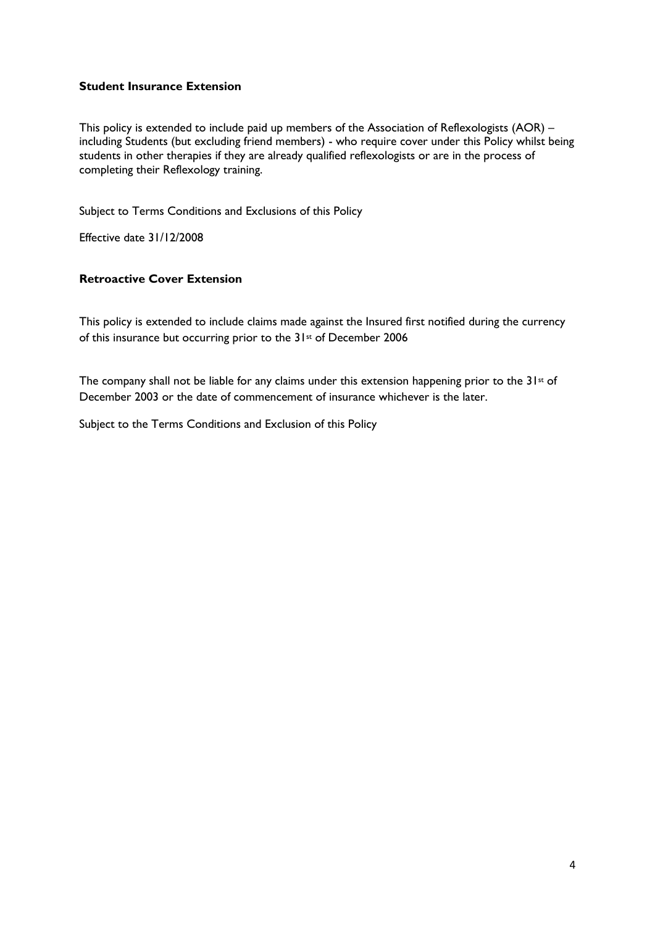## **Student Insurance Extension**

This policy is extended to include paid up members of the Association of Reflexologists (AOR) – including Students (but excluding friend members) - who require cover under this Policy whilst being students in other therapies if they are already qualified reflexologists or are in the process of completing their Reflexology training.

Subject to Terms Conditions and Exclusions of this Policy

Effective date 31/12/2008

## **Retroactive Cover Extension**

This policy is extended to include claims made against the Insured first notified during the currency of this insurance but occurring prior to the 31st of December 2006

The company shall not be liable for any claims under this extension happening prior to the 31<sup>st</sup> of December 2003 or the date of commencement of insurance whichever is the later.

Subject to the Terms Conditions and Exclusion of this Policy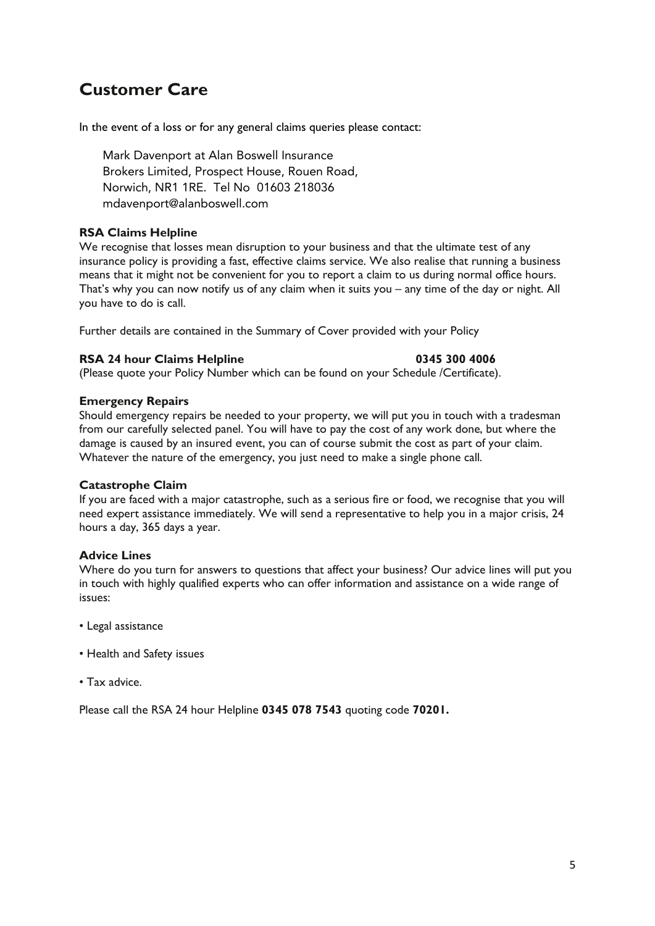## **Customer Care**

In the event of a loss or for any general claims queries please contact:

Mark Davenport at Alan Boswell Insurance Brokers Limited, Prospect House, Rouen Road, Norwich, NR1 1RE. Tel No 01603 218036 mdavenport@alanboswell.com

## **RSA Claims Helpline**

We recognise that losses mean disruption to your business and that the ultimate test of any insurance policy is providing a fast, effective claims service. We also realise that running a business means that it might not be convenient for you to report a claim to us during normal office hours. That's why you can now notify us of any claim when it suits you – any time of the day or night. All you have to do is call.

Further details are contained in the Summary of Cover provided with your Policy

## **RSA 24 hour Claims Helpline 1200 1200 1200 1345 300 4006**

(Please quote your Policy Number which can be found on your Schedule /Certificate).

## **Emergency Repairs**

Should emergency repairs be needed to your property, we will put you in touch with a tradesman from our carefully selected panel. You will have to pay the cost of any work done, but where the damage is caused by an insured event, you can of course submit the cost as part of your claim. Whatever the nature of the emergency, you just need to make a single phone call.

## **Catastrophe Claim**

If you are faced with a major catastrophe, such as a serious fire or food, we recognise that you will need expert assistance immediately. We will send a representative to help you in a major crisis, 24 hours a day, 365 days a year.

## **Advice Lines**

Where do you turn for answers to questions that affect your business? Our advice lines will put you in touch with highly qualified experts who can offer information and assistance on a wide range of issues:

- Legal assistance
- Health and Safety issues
- Tax advice.

Please call the RSA 24 hour Helpline **0345 078 7543** quoting code **70201.**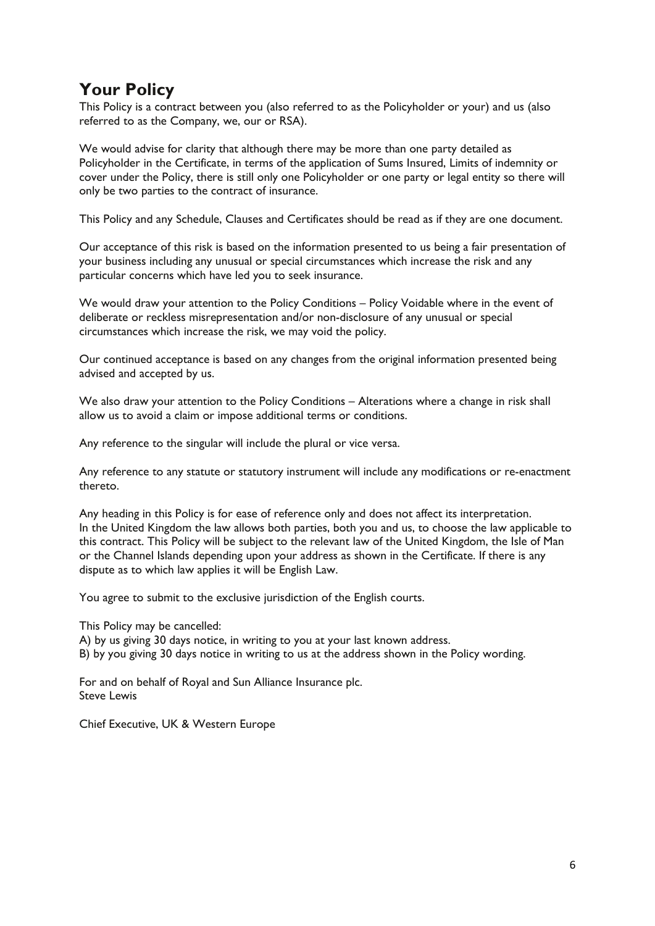## **Your Policy**

This Policy is a contract between you (also referred to as the Policyholder or your) and us (also referred to as the Company, we, our or RSA).

We would advise for clarity that although there may be more than one party detailed as Policyholder in the Certificate, in terms of the application of Sums Insured, Limits of indemnity or cover under the Policy, there is still only one Policyholder or one party or legal entity so there will only be two parties to the contract of insurance.

This Policy and any Schedule, Clauses and Certificates should be read as if they are one document.

Our acceptance of this risk is based on the information presented to us being a fair presentation of your business including any unusual or special circumstances which increase the risk and any particular concerns which have led you to seek insurance.

We would draw your attention to the Policy Conditions – Policy Voidable where in the event of deliberate or reckless misrepresentation and/or non-disclosure of any unusual or special circumstances which increase the risk, we may void the policy.

Our continued acceptance is based on any changes from the original information presented being advised and accepted by us.

We also draw your attention to the Policy Conditions – Alterations where a change in risk shall allow us to avoid a claim or impose additional terms or conditions.

Any reference to the singular will include the plural or vice versa.

Any reference to any statute or statutory instrument will include any modifications or re-enactment thereto.

Any heading in this Policy is for ease of reference only and does not affect its interpretation. In the United Kingdom the law allows both parties, both you and us, to choose the law applicable to this contract. This Policy will be subject to the relevant law of the United Kingdom, the Isle of Man or the Channel Islands depending upon your address as shown in the Certificate. If there is any dispute as to which law applies it will be English Law.

You agree to submit to the exclusive jurisdiction of the English courts.

This Policy may be cancelled:

A) by us giving 30 days notice, in writing to you at your last known address. B) by you giving 30 days notice in writing to us at the address shown in the Policy wording.

For and on behalf of Royal and Sun Alliance Insurance plc. Steve Lewis

Chief Executive, UK & Western Europe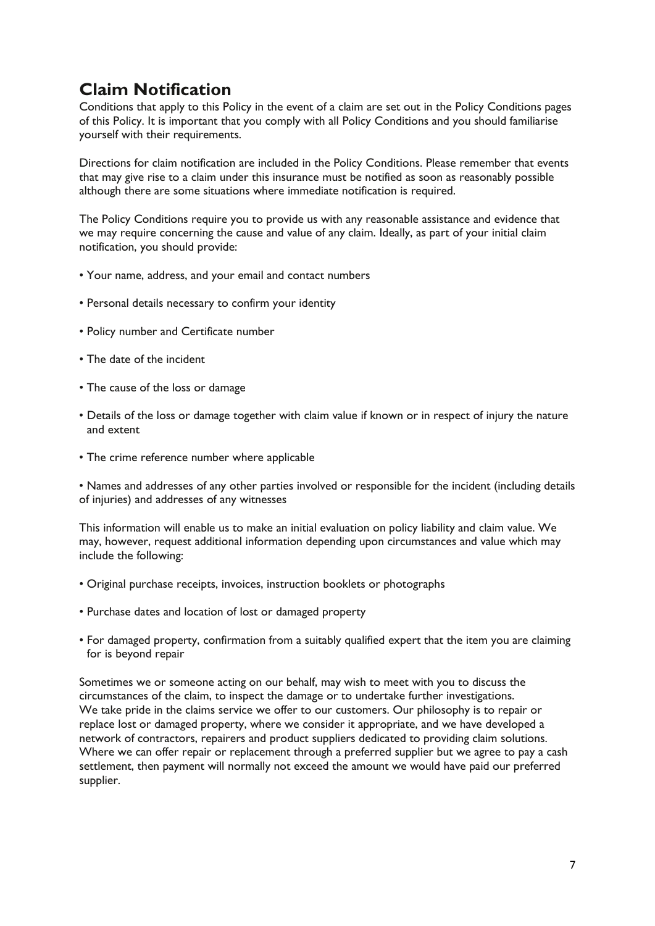## **Claim Notification**

Conditions that apply to this Policy in the event of a claim are set out in the Policy Conditions pages of this Policy. It is important that you comply with all Policy Conditions and you should familiarise yourself with their requirements.

Directions for claim notification are included in the Policy Conditions. Please remember that events that may give rise to a claim under this insurance must be notified as soon as reasonably possible although there are some situations where immediate notification is required.

The Policy Conditions require you to provide us with any reasonable assistance and evidence that we may require concerning the cause and value of any claim. Ideally, as part of your initial claim notification, you should provide:

- Your name, address, and your email and contact numbers
- Personal details necessary to confirm your identity
- Policy number and Certificate number
- The date of the incident
- The cause of the loss or damage
- Details of the loss or damage together with claim value if known or in respect of injury the nature and extent
- The crime reference number where applicable

• Names and addresses of any other parties involved or responsible for the incident (including details of injuries) and addresses of any witnesses

This information will enable us to make an initial evaluation on policy liability and claim value. We may, however, request additional information depending upon circumstances and value which may include the following:

- Original purchase receipts, invoices, instruction booklets or photographs
- Purchase dates and location of lost or damaged property
- For damaged property, confirmation from a suitably qualified expert that the item you are claiming for is beyond repair

Sometimes we or someone acting on our behalf, may wish to meet with you to discuss the circumstances of the claim, to inspect the damage or to undertake further investigations. We take pride in the claims service we offer to our customers. Our philosophy is to repair or replace lost or damaged property, where we consider it appropriate, and we have developed a network of contractors, repairers and product suppliers dedicated to providing claim solutions. Where we can offer repair or replacement through a preferred supplier but we agree to pay a cash settlement, then payment will normally not exceed the amount we would have paid our preferred supplier.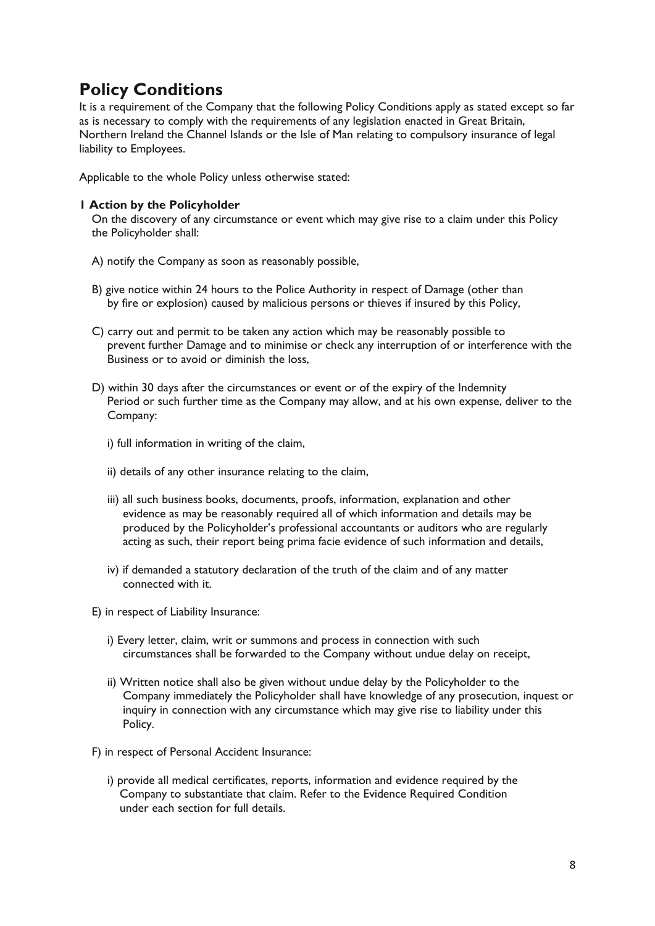## **Policy Conditions**

It is a requirement of the Company that the following Policy Conditions apply as stated except so far as is necessary to comply with the requirements of any legislation enacted in Great Britain, Northern Ireland the Channel Islands or the Isle of Man relating to compulsory insurance of legal liability to Employees.

Applicable to the whole Policy unless otherwise stated:

## **1 Action by the Policyholder**

On the discovery of any circumstance or event which may give rise to a claim under this Policy the Policyholder shall:

- A) notify the Company as soon as reasonably possible,
- B) give notice within 24 hours to the Police Authority in respect of Damage (other than by fire or explosion) caused by malicious persons or thieves if insured by this Policy,
- C) carry out and permit to be taken any action which may be reasonably possible to prevent further Damage and to minimise or check any interruption of or interference with the Business or to avoid or diminish the loss,
- D) within 30 days after the circumstances or event or of the expiry of the Indemnity Period or such further time as the Company may allow, and at his own expense, deliver to the Company:
	- i) full information in writing of the claim,
	- ii) details of any other insurance relating to the claim,
	- iii) all such business books, documents, proofs, information, explanation and other evidence as may be reasonably required all of which information and details may be produced by the Policyholder's professional accountants or auditors who are regularly acting as such, their report being prima facie evidence of such information and details,
	- iv) if demanded a statutory declaration of the truth of the claim and of any matter connected with it.
- E) in respect of Liability Insurance:
	- i) Every letter, claim, writ or summons and process in connection with such circumstances shall be forwarded to the Company without undue delay on receipt,
	- ii) Written notice shall also be given without undue delay by the Policyholder to the Company immediately the Policyholder shall have knowledge of any prosecution, inquest or inquiry in connection with any circumstance which may give rise to liability under this Policy.
- F) in respect of Personal Accident Insurance:
	- i) provide all medical certificates, reports, information and evidence required by the Company to substantiate that claim. Refer to the Evidence Required Condition under each section for full details.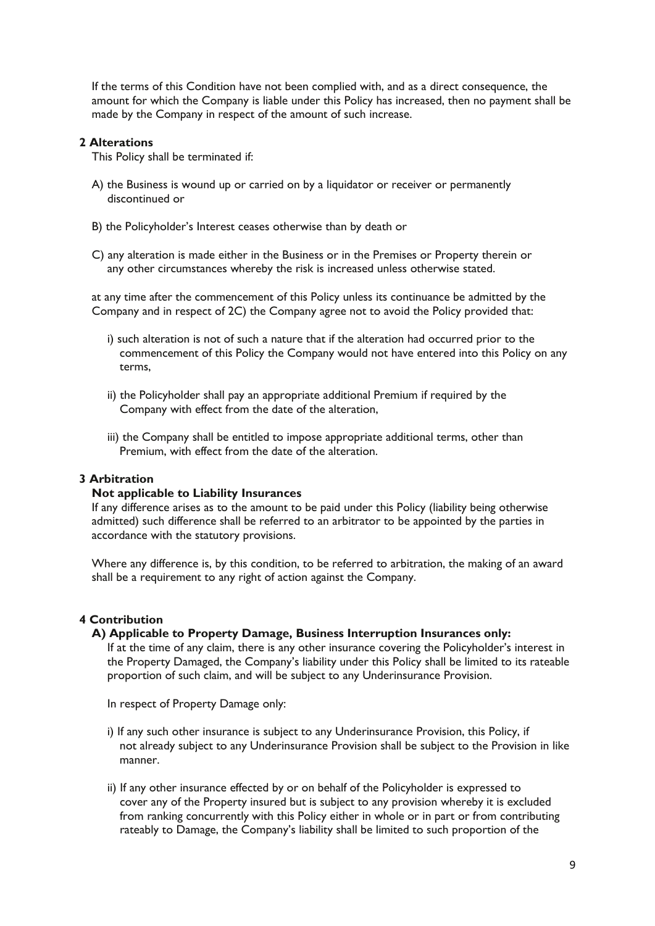If the terms of this Condition have not been complied with, and as a direct consequence, the amount for which the Company is liable under this Policy has increased, then no payment shall be made by the Company in respect of the amount of such increase.

## **2 Alterations**

This Policy shall be terminated if:

- A) the Business is wound up or carried on by a liquidator or receiver or permanently discontinued or
- B) the Policyholder's Interest ceases otherwise than by death or
- C) any alteration is made either in the Business or in the Premises or Property therein or any other circumstances whereby the risk is increased unless otherwise stated.

at any time after the commencement of this Policy unless its continuance be admitted by the Company and in respect of 2C) the Company agree not to avoid the Policy provided that:

- i) such alteration is not of such a nature that if the alteration had occurred prior to the commencement of this Policy the Company would not have entered into this Policy on any terms,
- ii) the Policyholder shall pay an appropriate additional Premium if required by the Company with effect from the date of the alteration,
- iii) the Company shall be entitled to impose appropriate additional terms, other than Premium, with effect from the date of the alteration.

## **3 Arbitration**

## **Not applicable to Liability Insurances**

If any difference arises as to the amount to be paid under this Policy (liability being otherwise admitted) such difference shall be referred to an arbitrator to be appointed by the parties in accordance with the statutory provisions.

Where any difference is, by this condition, to be referred to arbitration, the making of an award shall be a requirement to any right of action against the Company.

## **4 Contribution**

## **A) Applicable to Property Damage, Business Interruption Insurances only:**

If at the time of any claim, there is any other insurance covering the Policyholder's interest in the Property Damaged, the Company's liability under this Policy shall be limited to its rateable proportion of such claim, and will be subject to any Underinsurance Provision.

In respect of Property Damage only:

- i) If any such other insurance is subject to any Underinsurance Provision, this Policy, if not already subject to any Underinsurance Provision shall be subject to the Provision in like manner.
- ii) If any other insurance effected by or on behalf of the Policyholder is expressed to cover any of the Property insured but is subject to any provision whereby it is excluded from ranking concurrently with this Policy either in whole or in part or from contributing rateably to Damage, the Company's liability shall be limited to such proportion of the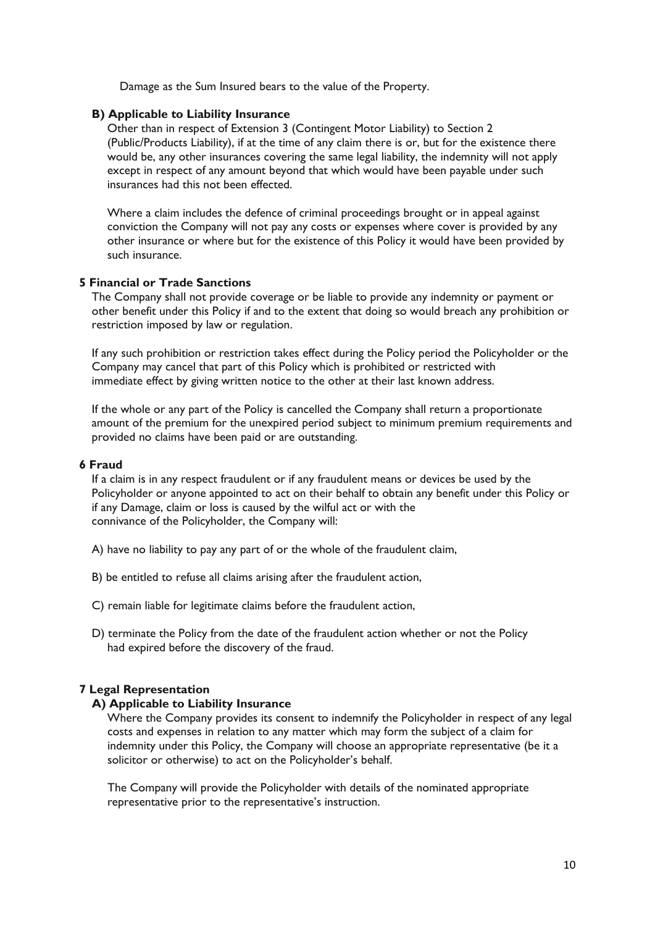Damage as the Sum Insured bears to the value of the Property.

## **B) Applicable to Liability Insurance**

Other than in respect of Extension 3 (Contingent Motor Liability) to Section 2 (Public/Products Liability), if at the time of any claim there is or, but for the existence there would be, any other insurances covering the same legal liability, the indemnity will not apply except in respect of any amount beyond that which would have been payable under such insurances had this not been effected.

Where a claim includes the defence of criminal proceedings brought or in appeal against conviction the Company will not pay any costs or expenses where cover is provided by any other insurance or where but for the existence of this Policy it would have been provided by such insurance.

## **5 Financial or Trade Sanctions**

The Company shall not provide coverage or be liable to provide any indemnity or payment or other benefit under this Policy if and to the extent that doing so would breach any prohibition or restriction imposed by law or regulation.

If any such prohibition or restriction takes effect during the Policy period the Policyholder or the Company may cancel that part of this Policy which is prohibited or restricted with immediate effect by giving written notice to the other at their last known address.

If the whole or any part of the Policy is cancelled the Company shall return a proportionate amount of the premium for the unexpired period subject to minimum premium requirements and provided no claims have been paid or are outstanding.

## **6 Fraud**

If a claim is in any respect fraudulent or if any fraudulent means or devices be used by the Policyholder or anyone appointed to act on their behalf to obtain any benefit under this Policy or if any Damage, claim or loss is caused by the wilful act or with the connivance of the Policyholder, the Company will:

A) have no liability to pay any part of or the whole of the fraudulent claim,

- B) be entitled to refuse all claims arising after the fraudulent action,
- C) remain liable for legitimate claims before the fraudulent action,
- D) terminate the Policy from the date of the fraudulent action whether or not the Policy had expired before the discovery of the fraud.

## **7 Legal Representation**

## **A) Applicable to Liability Insurance**

Where the Company provides its consent to indemnify the Policyholder in respect of any legal costs and expenses in relation to any matter which may form the subject of a claim for indemnity under this Policy, the Company will choose an appropriate representative (be it a solicitor or otherwise) to act on the Policyholder's behalf.

The Company will provide the Policyholder with details of the nominated appropriate representative prior to the representative's instruction.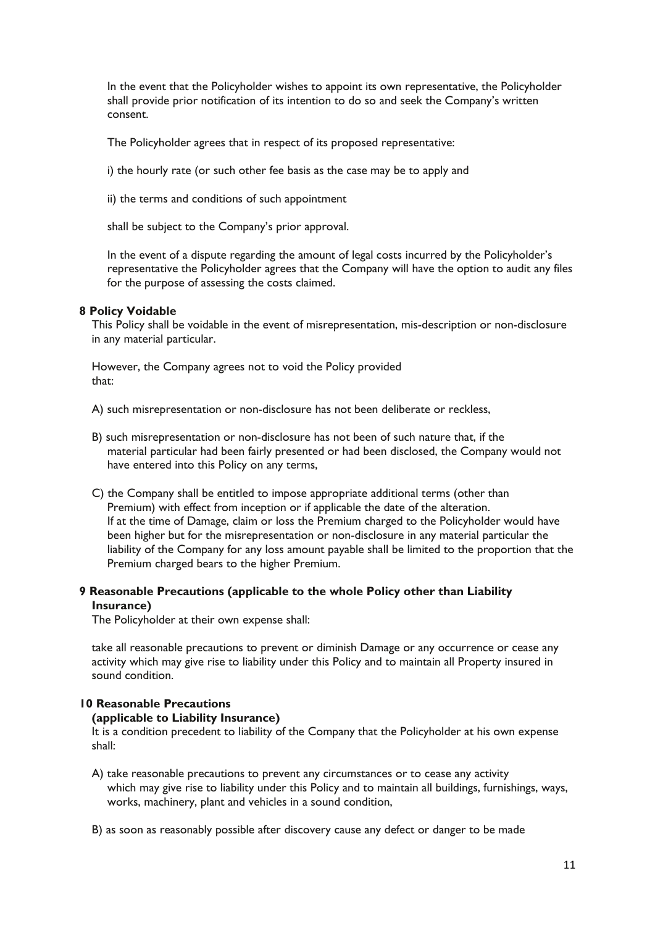In the event that the Policyholder wishes to appoint its own representative, the Policyholder shall provide prior notification of its intention to do so and seek the Company's written consent.

The Policyholder agrees that in respect of its proposed representative:

i) the hourly rate (or such other fee basis as the case may be to apply and

ii) the terms and conditions of such appointment

shall be subject to the Company's prior approval.

In the event of a dispute regarding the amount of legal costs incurred by the Policyholder's representative the Policyholder agrees that the Company will have the option to audit any files for the purpose of assessing the costs claimed.

## **8 Policy Voidable**

This Policy shall be voidable in the event of misrepresentation, mis-description or non-disclosure in any material particular.

However, the Company agrees not to void the Policy provided that:

A) such misrepresentation or non-disclosure has not been deliberate or reckless,

- B) such misrepresentation or non-disclosure has not been of such nature that, if the material particular had been fairly presented or had been disclosed, the Company would not have entered into this Policy on any terms,
- C) the Company shall be entitled to impose appropriate additional terms (other than Premium) with effect from inception or if applicable the date of the alteration. If at the time of Damage, claim or loss the Premium charged to the Policyholder would have been higher but for the misrepresentation or non-disclosure in any material particular the liability of the Company for any loss amount payable shall be limited to the proportion that the Premium charged bears to the higher Premium.

## **9 Reasonable Precautions (applicable to the whole Policy other than Liability Insurance)**

The Policyholder at their own expense shall:

take all reasonable precautions to prevent or diminish Damage or any occurrence or cease any activity which may give rise to liability under this Policy and to maintain all Property insured in sound condition.

## **10 Reasonable Precautions**

## **(applicable to Liability Insurance)**

It is a condition precedent to liability of the Company that the Policyholder at his own expense shall:

- A) take reasonable precautions to prevent any circumstances or to cease any activity which may give rise to liability under this Policy and to maintain all buildings, furnishings, ways, works, machinery, plant and vehicles in a sound condition,
- B) as soon as reasonably possible after discovery cause any defect or danger to be made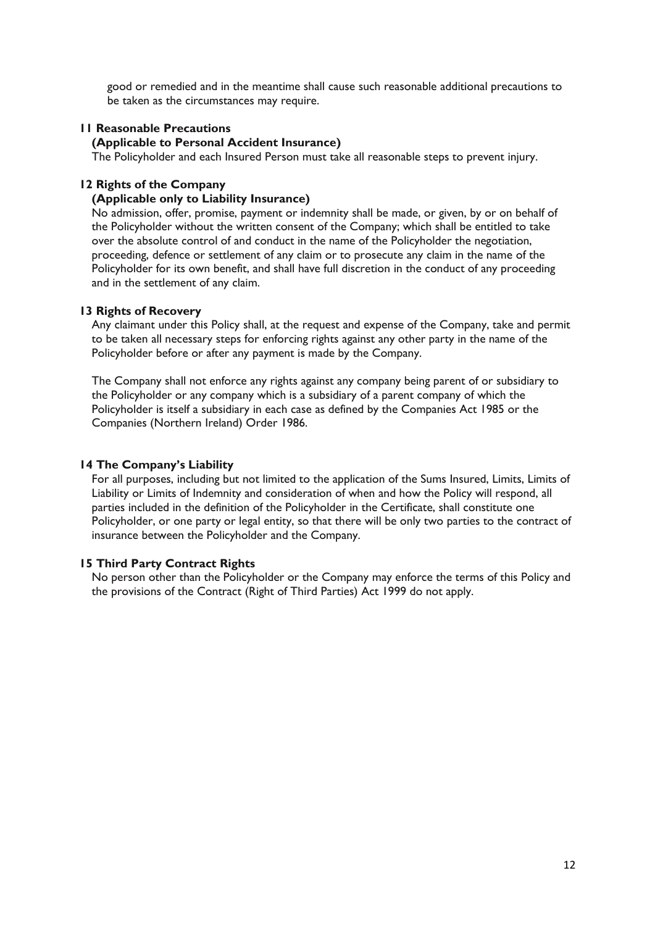good or remedied and in the meantime shall cause such reasonable additional precautions to be taken as the circumstances may require.

## **11 Reasonable Precautions**

## **(Applicable to Personal Accident Insurance)**

The Policyholder and each Insured Person must take all reasonable steps to prevent injury.

#### **12 Rights of the Company**

## **(Applicable only to Liability Insurance)**

No admission, offer, promise, payment or indemnity shall be made, or given, by or on behalf of the Policyholder without the written consent of the Company; which shall be entitled to take over the absolute control of and conduct in the name of the Policyholder the negotiation, proceeding, defence or settlement of any claim or to prosecute any claim in the name of the Policyholder for its own benefit, and shall have full discretion in the conduct of any proceeding and in the settlement of any claim.

#### **13 Rights of Recovery**

Any claimant under this Policy shall, at the request and expense of the Company, take and permit to be taken all necessary steps for enforcing rights against any other party in the name of the Policyholder before or after any payment is made by the Company.

The Company shall not enforce any rights against any company being parent of or subsidiary to the Policyholder or any company which is a subsidiary of a parent company of which the Policyholder is itself a subsidiary in each case as defined by the Companies Act 1985 or the Companies (Northern Ireland) Order 1986.

## **14 The Company's Liability**

For all purposes, including but not limited to the application of the Sums Insured, Limits, Limits of Liability or Limits of Indemnity and consideration of when and how the Policy will respond, all parties included in the definition of the Policyholder in the Certificate, shall constitute one Policyholder, or one party or legal entity, so that there will be only two parties to the contract of insurance between the Policyholder and the Company.

## **15 Third Party Contract Rights**

No person other than the Policyholder or the Company may enforce the terms of this Policy and the provisions of the Contract (Right of Third Parties) Act 1999 do not apply.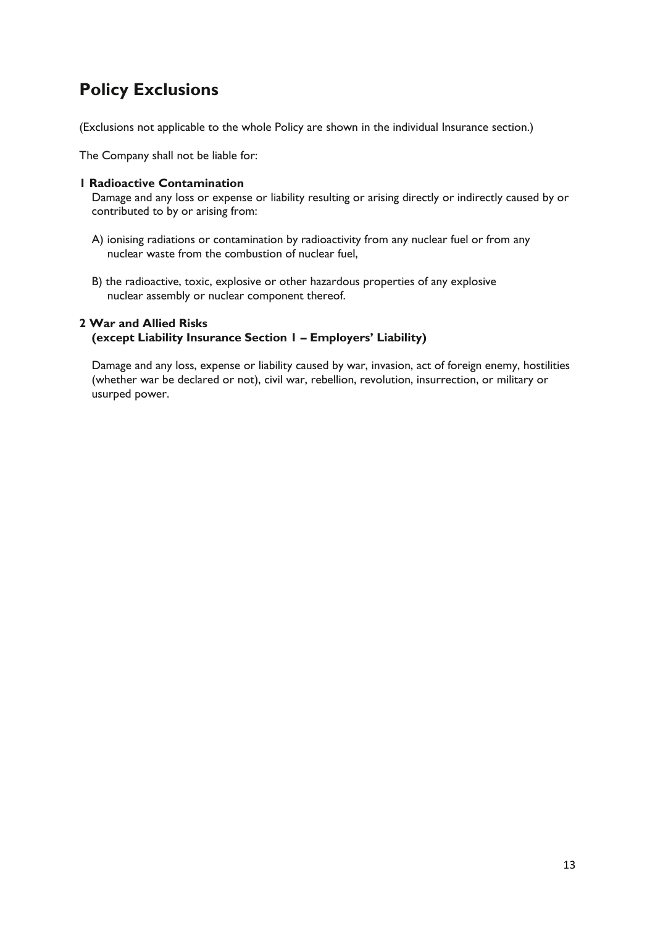## **Policy Exclusions**

(Exclusions not applicable to the whole Policy are shown in the individual Insurance section.)

The Company shall not be liable for:

## **1 Radioactive Contamination**

Damage and any loss or expense or liability resulting or arising directly or indirectly caused by or contributed to by or arising from:

- A) ionising radiations or contamination by radioactivity from any nuclear fuel or from any nuclear waste from the combustion of nuclear fuel,
- B) the radioactive, toxic, explosive or other hazardous properties of any explosive nuclear assembly or nuclear component thereof.

## **2 War and Allied Risks (except Liability Insurance Section 1 – Employers' Liability)**

Damage and any loss, expense or liability caused by war, invasion, act of foreign enemy, hostilities (whether war be declared or not), civil war, rebellion, revolution, insurrection, or military or usurped power.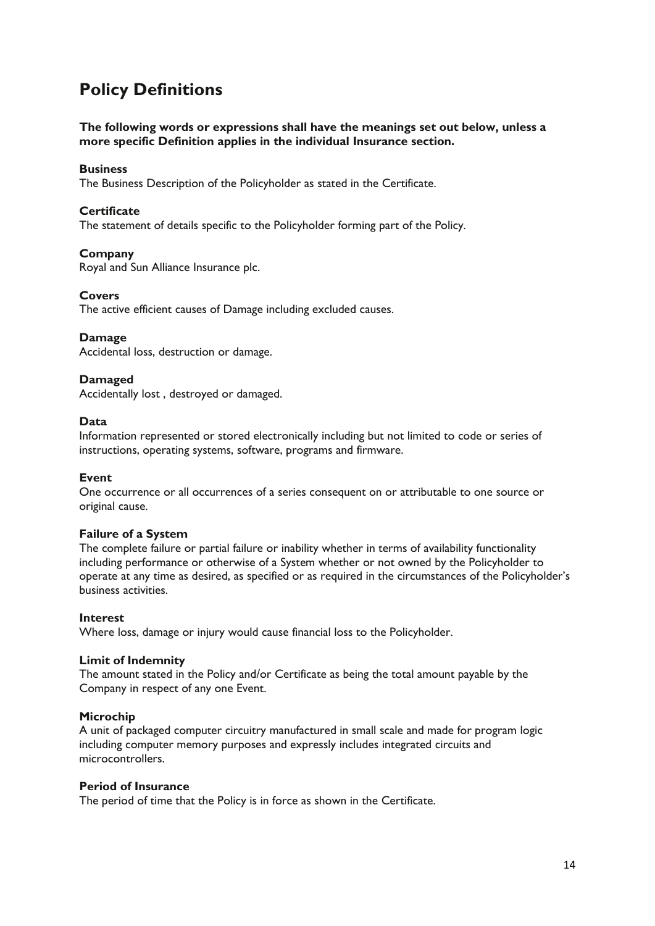## **Policy Definitions**

**The following words or expressions shall have the meanings set out below, unless a more specific Definition applies in the individual Insurance section.**

## **Business**

The Business Description of the Policyholder as stated in the Certificate.

## **Certificate**

The statement of details specific to the Policyholder forming part of the Policy.

## **Company**

Royal and Sun Alliance Insurance plc.

#### **Covers**

The active efficient causes of Damage including excluded causes.

## **Damage**

Accidental loss, destruction or damage.

## **Damaged**

Accidentally lost , destroyed or damaged.

## **Data**

Information represented or stored electronically including but not limited to code or series of instructions, operating systems, software, programs and firmware.

## **Event**

One occurrence or all occurrences of a series consequent on or attributable to one source or original cause.

## **Failure of a System**

The complete failure or partial failure or inability whether in terms of availability functionality including performance or otherwise of a System whether or not owned by the Policyholder to operate at any time as desired, as specified or as required in the circumstances of the Policyholder's business activities.

## **Interest**

Where loss, damage or injury would cause financial loss to the Policyholder.

## **Limit of Indemnity**

The amount stated in the Policy and/or Certificate as being the total amount payable by the Company in respect of any one Event.

## **Microchip**

A unit of packaged computer circuitry manufactured in small scale and made for program logic including computer memory purposes and expressly includes integrated circuits and microcontrollers.

## **Period of Insurance**

The period of time that the Policy is in force as shown in the Certificate.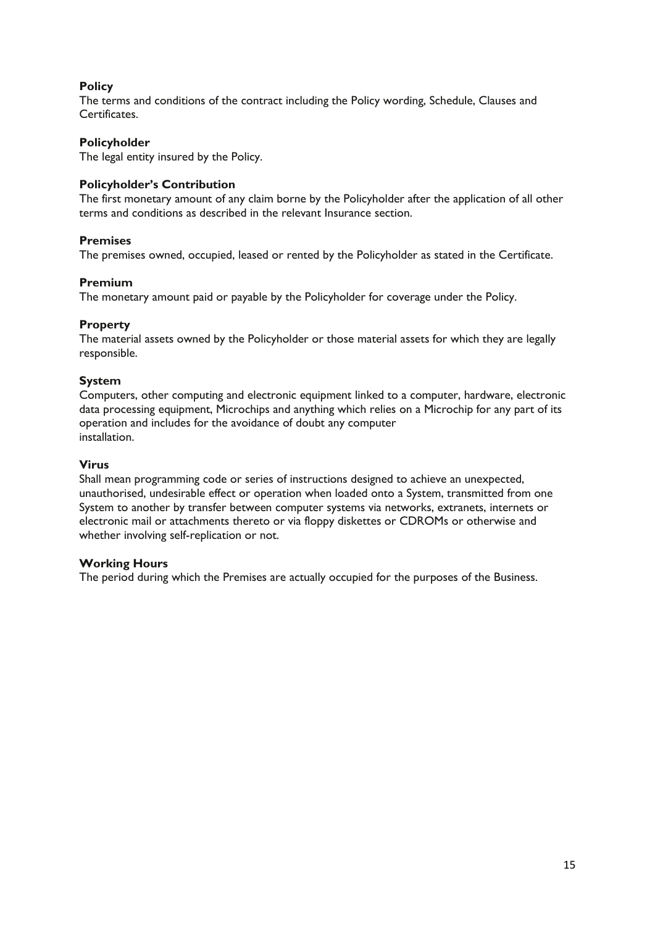## **Policy**

The terms and conditions of the contract including the Policy wording, Schedule, Clauses and Certificates.

## **Policyholder**

The legal entity insured by the Policy.

## **Policyholder's Contribution**

The first monetary amount of any claim borne by the Policyholder after the application of all other terms and conditions as described in the relevant Insurance section.

## **Premises**

The premises owned, occupied, leased or rented by the Policyholder as stated in the Certificate.

## **Premium**

The monetary amount paid or payable by the Policyholder for coverage under the Policy.

## **Property**

The material assets owned by the Policyholder or those material assets for which they are legally responsible.

## **System**

Computers, other computing and electronic equipment linked to a computer, hardware, electronic data processing equipment, Microchips and anything which relies on a Microchip for any part of its operation and includes for the avoidance of doubt any computer installation.

## **Virus**

Shall mean programming code or series of instructions designed to achieve an unexpected, unauthorised, undesirable effect or operation when loaded onto a System, transmitted from one System to another by transfer between computer systems via networks, extranets, internets or electronic mail or attachments thereto or via floppy diskettes or CDROMs or otherwise and whether involving self-replication or not.

## **Working Hours**

The period during which the Premises are actually occupied for the purposes of the Business.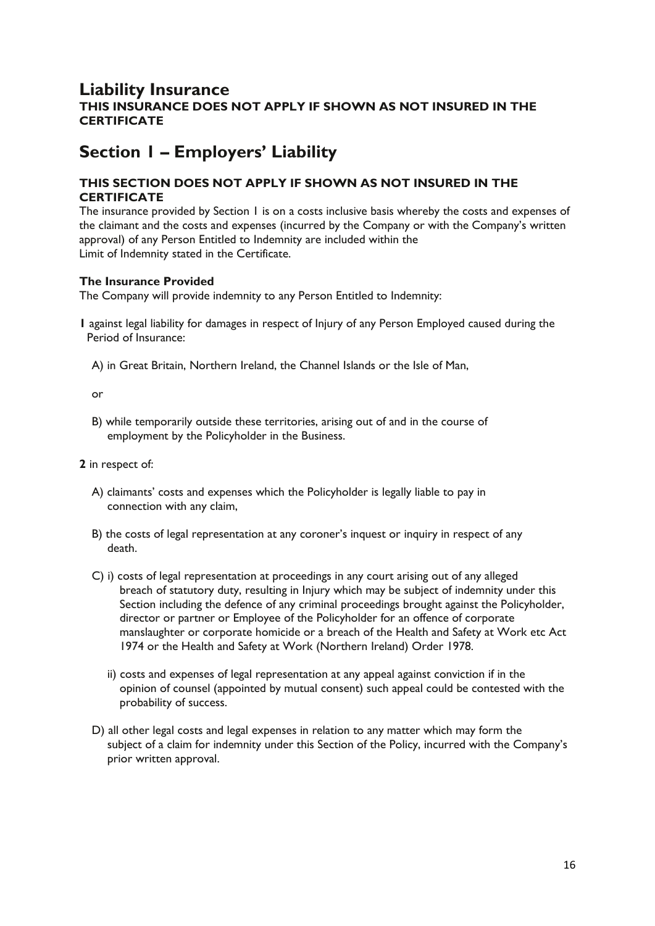## **Liability Insurance THIS INSURANCE DOES NOT APPLY IF SHOWN AS NOT INSURED IN THE CERTIFICATE**

## **Section 1 – Employers' Liability**

## **THIS SECTION DOES NOT APPLY IF SHOWN AS NOT INSURED IN THE CERTIFICATE**

The insurance provided by Section 1 is on a costs inclusive basis whereby the costs and expenses of the claimant and the costs and expenses (incurred by the Company or with the Company's written approval) of any Person Entitled to Indemnity are included within the Limit of Indemnity stated in the Certificate.

## **The Insurance Provided**

The Company will provide indemnity to any Person Entitled to Indemnity:

- **1** against legal liability for damages in respect of Injury of any Person Employed caused during the Period of Insurance:
	- A) in Great Britain, Northern Ireland, the Channel Islands or the Isle of Man,

or

- B) while temporarily outside these territories, arising out of and in the course of employment by the Policyholder in the Business.
- **2** in respect of:
	- A) claimants' costs and expenses which the Policyholder is legally liable to pay in connection with any claim,
	- B) the costs of legal representation at any coroner's inquest or inquiry in respect of any death.
	- C) i) costs of legal representation at proceedings in any court arising out of any alleged breach of statutory duty, resulting in Injury which may be subject of indemnity under this Section including the defence of any criminal proceedings brought against the Policyholder, director or partner or Employee of the Policyholder for an offence of corporate manslaughter or corporate homicide or a breach of the Health and Safety at Work etc Act 1974 or the Health and Safety at Work (Northern Ireland) Order 1978.
		- ii) costs and expenses of legal representation at any appeal against conviction if in the opinion of counsel (appointed by mutual consent) such appeal could be contested with the probability of success.
	- D) all other legal costs and legal expenses in relation to any matter which may form the subject of a claim for indemnity under this Section of the Policy, incurred with the Company's prior written approval.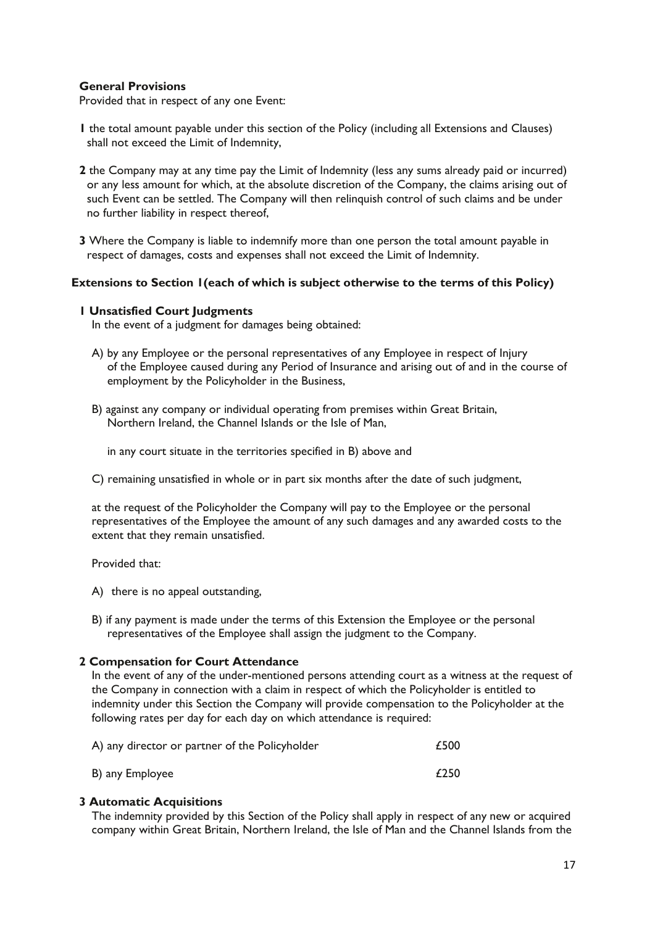## **General Provisions**

Provided that in respect of any one Event:

- **1** the total amount payable under this section of the Policy (including all Extensions and Clauses) shall not exceed the Limit of Indemnity,
- **2** the Company may at any time pay the Limit of Indemnity (less any sums already paid or incurred) or any less amount for which, at the absolute discretion of the Company, the claims arising out of such Event can be settled. The Company will then relinquish control of such claims and be under no further liability in respect thereof,
- **3** Where the Company is liable to indemnify more than one person the total amount payable in respect of damages, costs and expenses shall not exceed the Limit of Indemnity.

## **Extensions to Section 1(each of which is subject otherwise to the terms of this Policy)**

## **1 Unsatisfied Court Judgments**

In the event of a judgment for damages being obtained:

- A) by any Employee or the personal representatives of any Employee in respect of Injury of the Employee caused during any Period of Insurance and arising out of and in the course of employment by the Policyholder in the Business,
- B) against any company or individual operating from premises within Great Britain, Northern Ireland, the Channel Islands or the Isle of Man,

in any court situate in the territories specified in B) above and

C) remaining unsatisfied in whole or in part six months after the date of such judgment,

at the request of the Policyholder the Company will pay to the Employee or the personal representatives of the Employee the amount of any such damages and any awarded costs to the extent that they remain unsatisfied.

Provided that:

- A) there is no appeal outstanding,
- B) if any payment is made under the terms of this Extension the Employee or the personal representatives of the Employee shall assign the judgment to the Company.

## **2 Compensation for Court Attendance**

In the event of any of the under-mentioned persons attending court as a witness at the request of the Company in connection with a claim in respect of which the Policyholder is entitled to indemnity under this Section the Company will provide compensation to the Policyholder at the following rates per day for each day on which attendance is required:

| A) any director or partner of the Policyholder | £500 |
|------------------------------------------------|------|
| B) any Employee                                | £250 |

## **3 Automatic Acquisitions**

The indemnity provided by this Section of the Policy shall apply in respect of any new or acquired company within Great Britain, Northern Ireland, the Isle of Man and the Channel Islands from the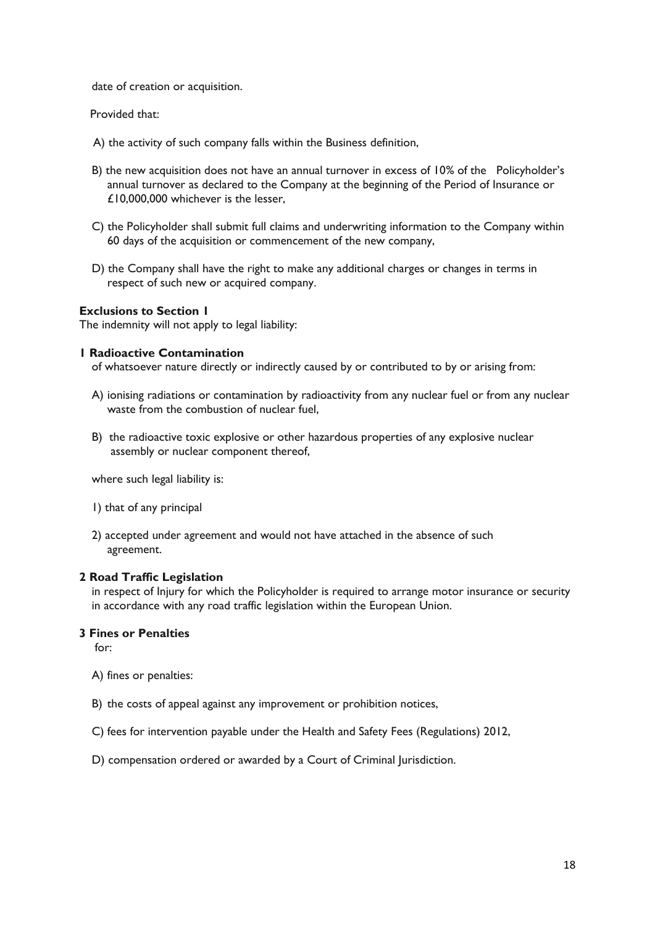date of creation or acquisition.

Provided that:

- A) the activity of such company falls within the Business definition,
- B) the new acquisition does not have an annual turnover in excess of 10% of the Policyholder's annual turnover as declared to the Company at the beginning of the Period of Insurance or £10,000,000 whichever is the lesser,
- C) the Policyholder shall submit full claims and underwriting information to the Company within 60 days of the acquisition or commencement of the new company,
- D) the Company shall have the right to make any additional charges or changes in terms in respect of such new or acquired company.

#### **Exclusions to Section 1**

The indemnity will not apply to legal liability:

#### **1 Radioactive Contamination**

of whatsoever nature directly or indirectly caused by or contributed to by or arising from:

- A) ionising radiations or contamination by radioactivity from any nuclear fuel or from any nuclear waste from the combustion of nuclear fuel,
- B) the radioactive toxic explosive or other hazardous properties of any explosive nuclear assembly or nuclear component thereof,

where such legal liability is:

- 1) that of any principal
- 2) accepted under agreement and would not have attached in the absence of such agreement.

#### **2 Road Traffic Legislation**

in respect of Injury for which the Policyholder is required to arrange motor insurance or security in accordance with any road traffic legislation within the European Union.

## **3 Fines or Penalties**

 $for:$ 

- A) fines or penalties:
- B) the costs of appeal against any improvement or prohibition notices,
- C) fees for intervention payable under the Health and Safety Fees (Regulations) 2012,
- D) compensation ordered or awarded by a Court of Criminal Jurisdiction.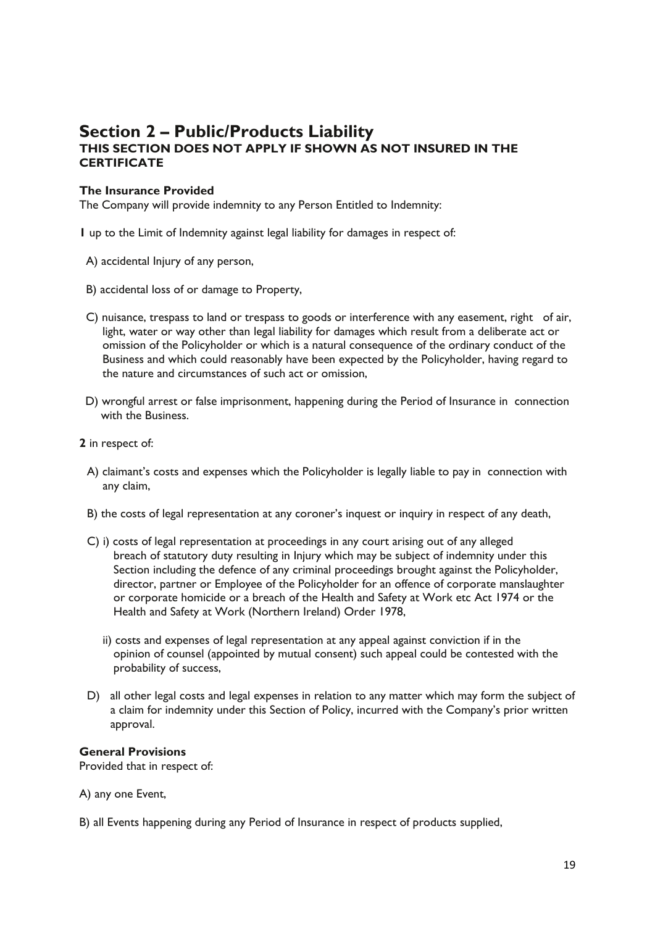## **Section 2 – Public/Products Liability THIS SECTION DOES NOT APPLY IF SHOWN AS NOT INSURED IN THE CERTIFICATE**

## **The Insurance Provided**

The Company will provide indemnity to any Person Entitled to Indemnity:

**1** up to the Limit of Indemnity against legal liability for damages in respect of:

- A) accidental Injury of any person,
- B) accidental loss of or damage to Property,
- C) nuisance, trespass to land or trespass to goods or interference with any easement, right of air, light, water or way other than legal liability for damages which result from a deliberate act or omission of the Policyholder or which is a natural consequence of the ordinary conduct of the Business and which could reasonably have been expected by the Policyholder, having regard to the nature and circumstances of such act or omission,
- D) wrongful arrest or false imprisonment, happening during the Period of Insurance in connection with the Business.
- **2** in respect of:
	- A) claimant's costs and expenses which the Policyholder is legally liable to pay in connection with any claim,
	- B) the costs of legal representation at any coroner's inquest or inquiry in respect of any death,
	- C) i) costs of legal representation at proceedings in any court arising out of any alleged breach of statutory duty resulting in Injury which may be subject of indemnity under this Section including the defence of any criminal proceedings brought against the Policyholder, director, partner or Employee of the Policyholder for an offence of corporate manslaughter or corporate homicide or a breach of the Health and Safety at Work etc Act 1974 or the Health and Safety at Work (Northern Ireland) Order 1978,
		- ii) costs and expenses of legal representation at any appeal against conviction if in the opinion of counsel (appointed by mutual consent) such appeal could be contested with the probability of success,
	- D) all other legal costs and legal expenses in relation to any matter which may form the subject of a claim for indemnity under this Section of Policy, incurred with the Company's prior written approval.

## **General Provisions**

Provided that in respect of:

A) any one Event,

B) all Events happening during any Period of Insurance in respect of products supplied,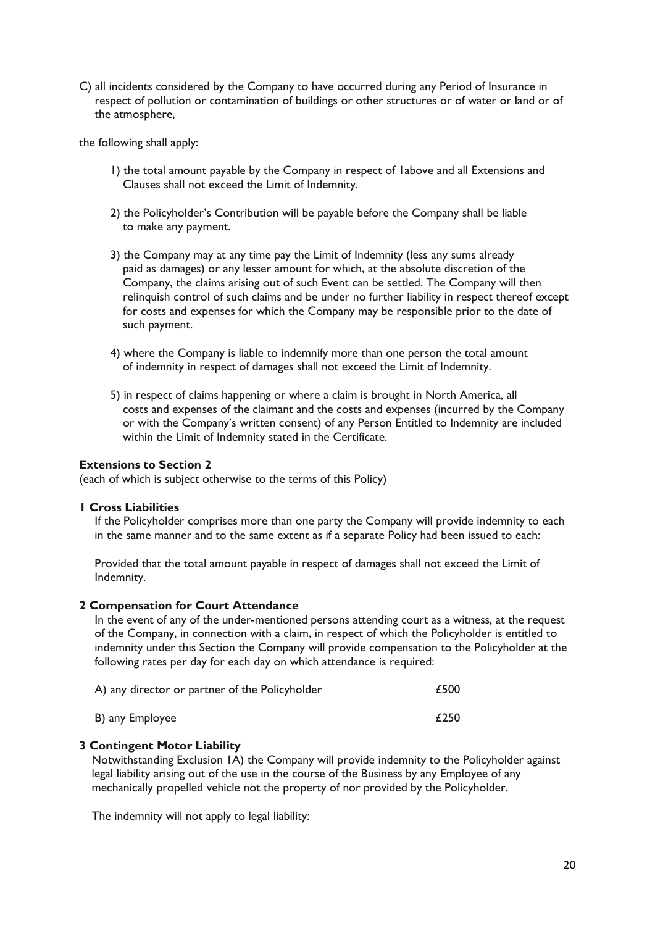C) all incidents considered by the Company to have occurred during any Period of Insurance in respect of pollution or contamination of buildings or other structures or of water or land or of the atmosphere,

the following shall apply:

- 1) the total amount payable by the Company in respect of 1above and all Extensions and Clauses shall not exceed the Limit of Indemnity.
- 2) the Policyholder's Contribution will be payable before the Company shall be liable to make any payment.
- 3) the Company may at any time pay the Limit of Indemnity (less any sums already paid as damages) or any lesser amount for which, at the absolute discretion of the Company, the claims arising out of such Event can be settled. The Company will then relinquish control of such claims and be under no further liability in respect thereof except for costs and expenses for which the Company may be responsible prior to the date of such payment.
- 4) where the Company is liable to indemnify more than one person the total amount of indemnity in respect of damages shall not exceed the Limit of Indemnity.
- 5) in respect of claims happening or where a claim is brought in North America, all costs and expenses of the claimant and the costs and expenses (incurred by the Company or with the Company's written consent) of any Person Entitled to Indemnity are included within the Limit of Indemnity stated in the Certificate.

## **Extensions to Section 2**

(each of which is subject otherwise to the terms of this Policy)

#### **1 Cross Liabilities**

If the Policyholder comprises more than one party the Company will provide indemnity to each in the same manner and to the same extent as if a separate Policy had been issued to each:

Provided that the total amount payable in respect of damages shall not exceed the Limit of Indemnity.

#### **2 Compensation for Court Attendance**

In the event of any of the under-mentioned persons attending court as a witness, at the request of the Company, in connection with a claim, in respect of which the Policyholder is entitled to indemnity under this Section the Company will provide compensation to the Policyholder at the following rates per day for each day on which attendance is required:

| A) any director or partner of the Policyholder | £500 |
|------------------------------------------------|------|
| B) any Employee                                | £250 |

## **3 Contingent Motor Liability**

Notwithstanding Exclusion 1A) the Company will provide indemnity to the Policyholder against legal liability arising out of the use in the course of the Business by any Employee of any mechanically propelled vehicle not the property of nor provided by the Policyholder.

The indemnity will not apply to legal liability: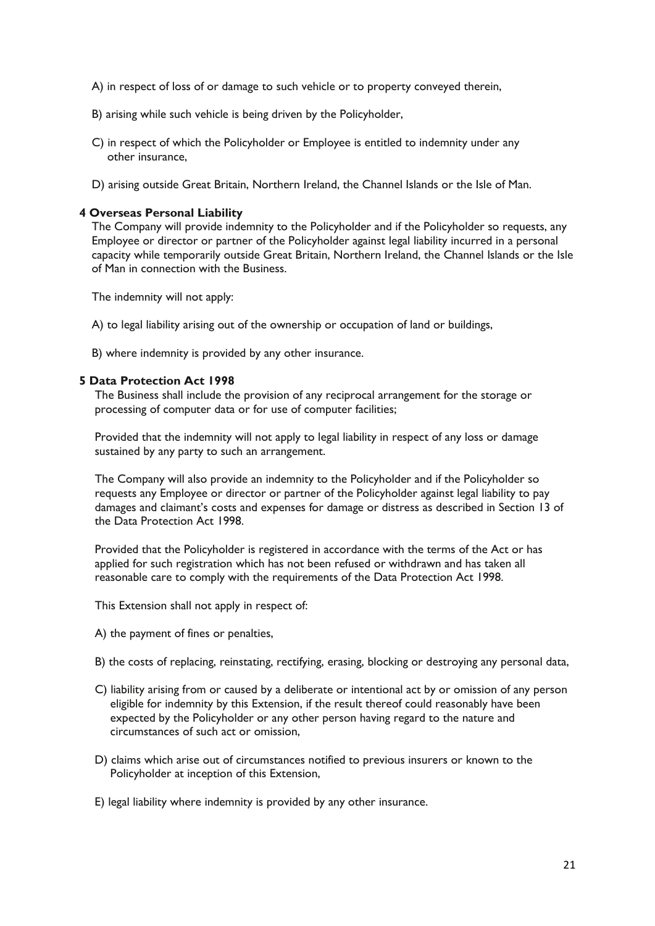- A) in respect of loss of or damage to such vehicle or to property conveyed therein,
- B) arising while such vehicle is being driven by the Policyholder,
- C) in respect of which the Policyholder or Employee is entitled to indemnity under any other insurance,
- D) arising outside Great Britain, Northern Ireland, the Channel Islands or the Isle of Man.

#### **4 Overseas Personal Liability**

The Company will provide indemnity to the Policyholder and if the Policyholder so requests, any Employee or director or partner of the Policyholder against legal liability incurred in a personal capacity while temporarily outside Great Britain, Northern Ireland, the Channel Islands or the Isle of Man in connection with the Business.

The indemnity will not apply:

- A) to legal liability arising out of the ownership or occupation of land or buildings,
- B) where indemnity is provided by any other insurance.

#### **5 Data Protection Act 1998**

The Business shall include the provision of any reciprocal arrangement for the storage or processing of computer data or for use of computer facilities;

Provided that the indemnity will not apply to legal liability in respect of any loss or damage sustained by any party to such an arrangement.

The Company will also provide an indemnity to the Policyholder and if the Policyholder so requests any Employee or director or partner of the Policyholder against legal liability to pay damages and claimant's costs and expenses for damage or distress as described in Section 13 of the Data Protection Act 1998.

Provided that the Policyholder is registered in accordance with the terms of the Act or has applied for such registration which has not been refused or withdrawn and has taken all reasonable care to comply with the requirements of the Data Protection Act 1998.

This Extension shall not apply in respect of:

- A) the payment of fines or penalties,
- B) the costs of replacing, reinstating, rectifying, erasing, blocking or destroying any personal data,
- C) liability arising from or caused by a deliberate or intentional act by or omission of any person eligible for indemnity by this Extension, if the result thereof could reasonably have been expected by the Policyholder or any other person having regard to the nature and circumstances of such act or omission,
- D) claims which arise out of circumstances notified to previous insurers or known to the Policyholder at inception of this Extension,
- E) legal liability where indemnity is provided by any other insurance.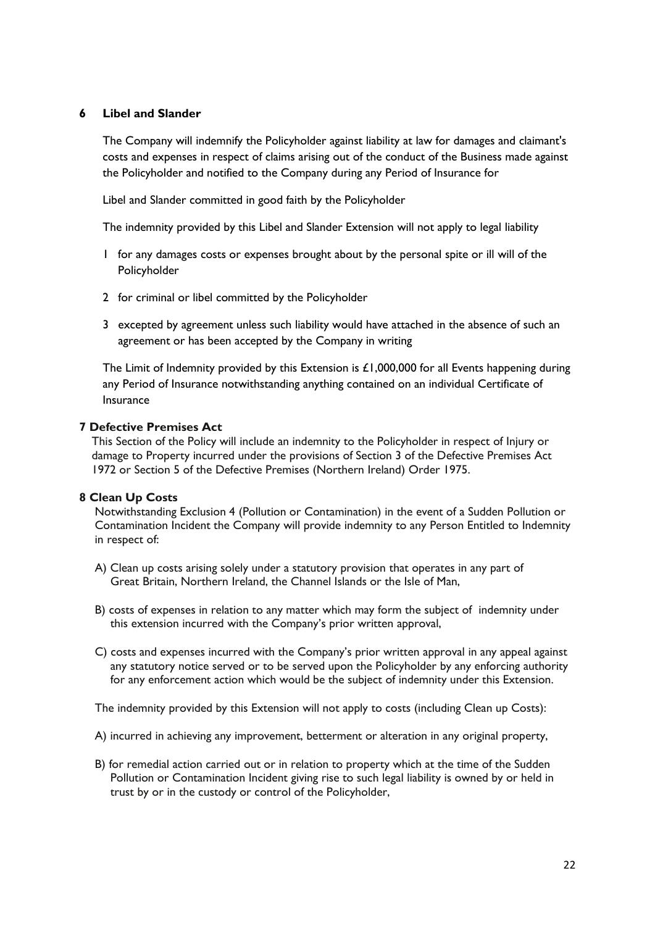## **6 Libel and Slander**

The Company will indemnify the Policyholder against liability at law for damages and claimant's costs and expenses in respect of claims arising out of the conduct of the Business made against the Policyholder and notified to the Company during any Period of Insurance for

Libel and Slander committed in good faith by the Policyholder

The indemnity provided by this Libel and Slander Extension will not apply to legal liability

- 1 for any damages costs or expenses brought about by the personal spite or ill will of the Policyholder
- 2 for criminal or libel committed by the Policyholder
- 3 excepted by agreement unless such liability would have attached in the absence of such an agreement or has been accepted by the Company in writing

The Limit of Indemnity provided by this Extension is  $£1,000,000$  for all Events happening during any Period of Insurance notwithstanding anything contained on an individual Certificate of Insurance

## **7 Defective Premises Act**

This Section of the Policy will include an indemnity to the Policyholder in respect of Injury or damage to Property incurred under the provisions of Section 3 of the Defective Premises Act 1972 or Section 5 of the Defective Premises (Northern Ireland) Order 1975.

## **8 Clean Up Costs**

Notwithstanding Exclusion 4 (Pollution or Contamination) in the event of a Sudden Pollution or Contamination Incident the Company will provide indemnity to any Person Entitled to Indemnity in respect of:

- A) Clean up costs arising solely under a statutory provision that operates in any part of Great Britain, Northern Ireland, the Channel Islands or the Isle of Man,
- B) costs of expenses in relation to any matter which may form the subject of indemnity under this extension incurred with the Company's prior written approval,
- C) costs and expenses incurred with the Company's prior written approval in any appeal against any statutory notice served or to be served upon the Policyholder by any enforcing authority for any enforcement action which would be the subject of indemnity under this Extension.

The indemnity provided by this Extension will not apply to costs (including Clean up Costs):

- A) incurred in achieving any improvement, betterment or alteration in any original property,
- B) for remedial action carried out or in relation to property which at the time of the Sudden Pollution or Contamination Incident giving rise to such legal liability is owned by or held in trust by or in the custody or control of the Policyholder,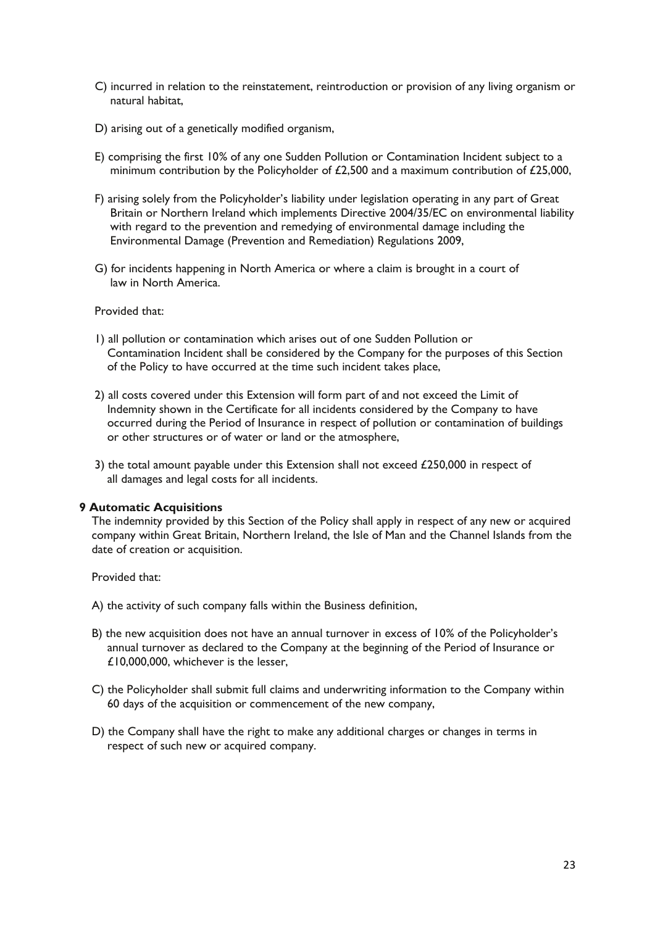- C) incurred in relation to the reinstatement, reintroduction or provision of any living organism or natural habitat,
- D) arising out of a genetically modified organism,
- E) comprising the first 10% of any one Sudden Pollution or Contamination Incident subject to a minimum contribution by the Policyholder of £2,500 and a maximum contribution of £25,000,
- F) arising solely from the Policyholder's liability under legislation operating in any part of Great Britain or Northern Ireland which implements Directive 2004/35/EC on environmental liability with regard to the prevention and remedying of environmental damage including the Environmental Damage (Prevention and Remediation) Regulations 2009,
- G) for incidents happening in North America or where a claim is brought in a court of law in North America.

#### Provided that:

- 1) all pollution or contamination which arises out of one Sudden Pollution or Contamination Incident shall be considered by the Company for the purposes of this Section of the Policy to have occurred at the time such incident takes place,
- 2) all costs covered under this Extension will form part of and not exceed the Limit of Indemnity shown in the Certificate for all incidents considered by the Company to have occurred during the Period of Insurance in respect of pollution or contamination of buildings or other structures or of water or land or the atmosphere,
- 3) the total amount payable under this Extension shall not exceed £250,000 in respect of all damages and legal costs for all incidents.

#### **9 Automatic Acquisitions**

The indemnity provided by this Section of the Policy shall apply in respect of any new or acquired company within Great Britain, Northern Ireland, the Isle of Man and the Channel Islands from the date of creation or acquisition.

#### Provided that:

- A) the activity of such company falls within the Business definition,
- B) the new acquisition does not have an annual turnover in excess of 10% of the Policyholder's annual turnover as declared to the Company at the beginning of the Period of Insurance or £10,000,000, whichever is the lesser,
- C) the Policyholder shall submit full claims and underwriting information to the Company within 60 days of the acquisition or commencement of the new company,
- D) the Company shall have the right to make any additional charges or changes in terms in respect of such new or acquired company.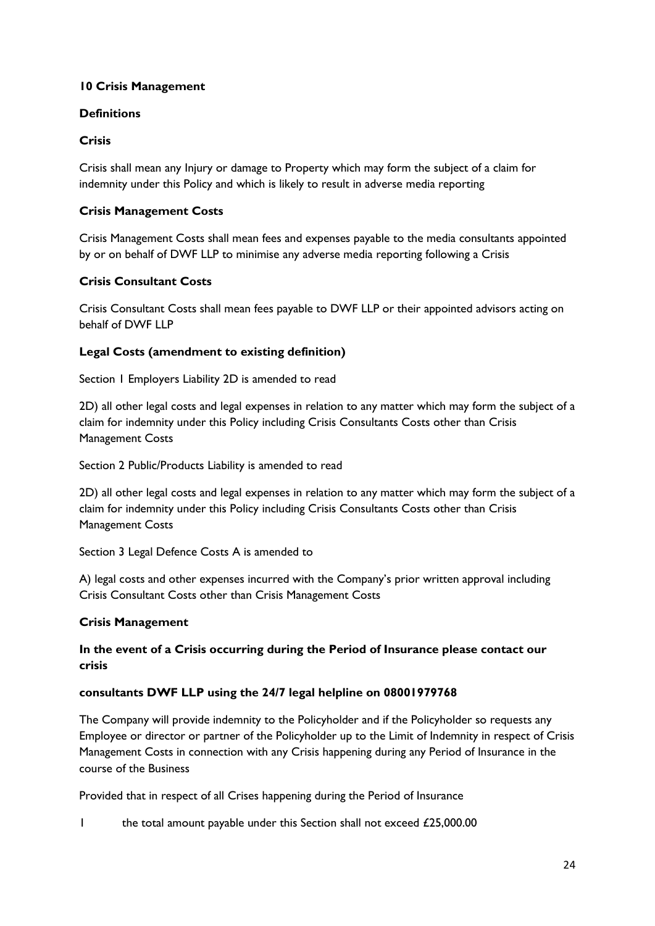## **10 Crisis Management**

## **Definitions**

## **Crisis**

Crisis shall mean any Injury or damage to Property which may form the subject of a claim for indemnity under this Policy and which is likely to result in adverse media reporting

## **Crisis Management Costs**

Crisis Management Costs shall mean fees and expenses payable to the media consultants appointed by or on behalf of DWF LLP to minimise any adverse media reporting following a Crisis

## **Crisis Consultant Costs**

Crisis Consultant Costs shall mean fees payable to DWF LLP or their appointed advisors acting on behalf of DWF LLP

## **Legal Costs (amendment to existing definition)**

Section 1 Employers Liability 2D is amended to read

2D) all other legal costs and legal expenses in relation to any matter which may form the subject of a claim for indemnity under this Policy including Crisis Consultants Costs other than Crisis Management Costs

Section 2 Public/Products Liability is amended to read

2D) all other legal costs and legal expenses in relation to any matter which may form the subject of a claim for indemnity under this Policy including Crisis Consultants Costs other than Crisis Management Costs

Section 3 Legal Defence Costs A is amended to

A) legal costs and other expenses incurred with the Company's prior written approval including Crisis Consultant Costs other than Crisis Management Costs

## **Crisis Management**

## **In the event of a Crisis occurring during the Period of Insurance please contact our crisis**

## **consultants DWF LLP using the 24/7 legal helpline on 08001979768**

The Company will provide indemnity to the Policyholder and if the Policyholder so requests any Employee or director or partner of the Policyholder up to the Limit of Indemnity in respect of Crisis Management Costs in connection with any Crisis happening during any Period of Insurance in the course of the Business

Provided that in respect of all Crises happening during the Period of Insurance

1 the total amount payable under this Section shall not exceed £25,000.00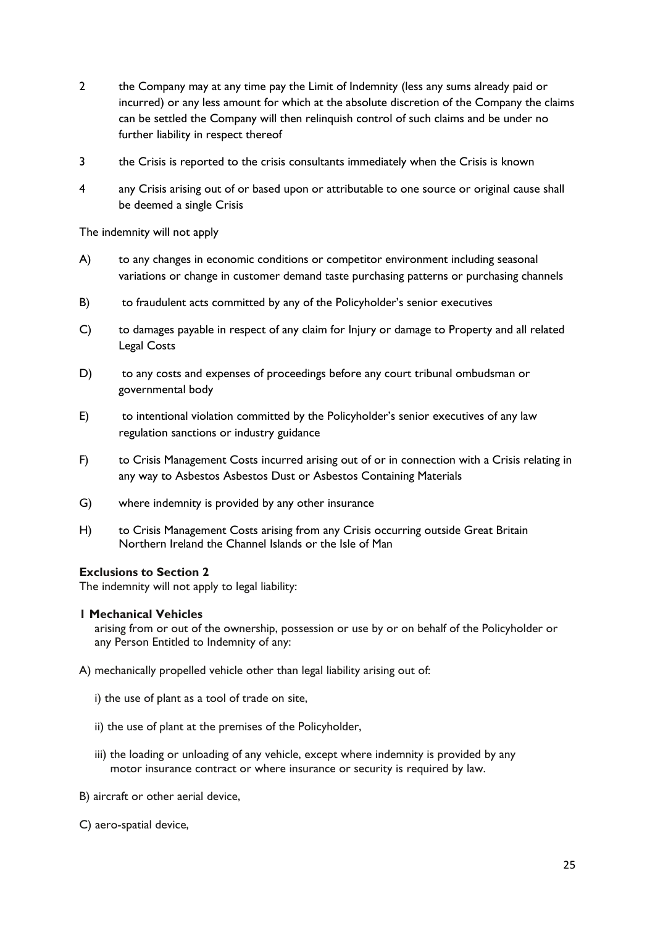- 2 the Company may at any time pay the Limit of Indemnity (less any sums already paid or incurred) or any less amount for which at the absolute discretion of the Company the claims can be settled the Company will then relinquish control of such claims and be under no further liability in respect thereof
- 3 the Crisis is reported to the crisis consultants immediately when the Crisis is known
- 4 any Crisis arising out of or based upon or attributable to one source or original cause shall be deemed a single Crisis

The indemnity will not apply

- A) to any changes in economic conditions or competitor environment including seasonal variations or change in customer demand taste purchasing patterns or purchasing channels
- B) to fraudulent acts committed by any of the Policyholder's senior executives
- C) to damages payable in respect of any claim for Injury or damage to Property and all related Legal Costs
- D) to any costs and expenses of proceedings before any court tribunal ombudsman or governmental body
- E) to intentional violation committed by the Policyholder's senior executives of any law regulation sanctions or industry guidance
- F) to Crisis Management Costs incurred arising out of or in connection with a Crisis relating in any way to Asbestos Asbestos Dust or Asbestos Containing Materials
- G) where indemnity is provided by any other insurance
- H) to Crisis Management Costs arising from any Crisis occurring outside Great Britain Northern Ireland the Channel Islands or the Isle of Man

## **Exclusions to Section 2**

The indemnity will not apply to legal liability:

## **1 Mechanical Vehicles**

arising from or out of the ownership, possession or use by or on behalf of the Policyholder or any Person Entitled to Indemnity of any:

A) mechanically propelled vehicle other than legal liability arising out of:

- i) the use of plant as a tool of trade on site,
- ii) the use of plant at the premises of the Policyholder,
- iii) the loading or unloading of any vehicle, except where indemnity is provided by any motor insurance contract or where insurance or security is required by law.

B) aircraft or other aerial device,

C) aero-spatial device,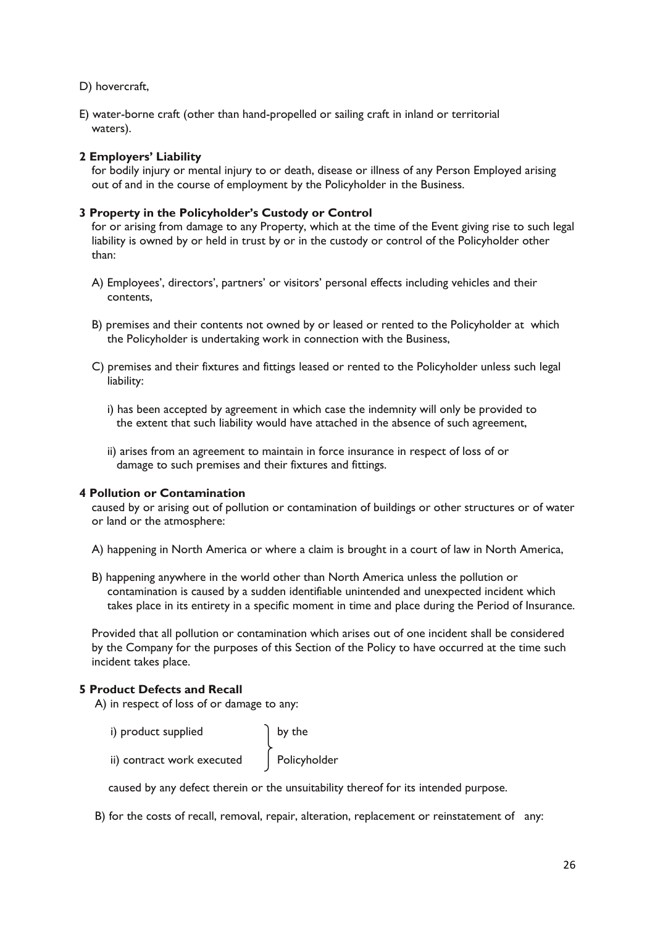D) hovercraft,

E) water-borne craft (other than hand-propelled or sailing craft in inland or territorial waters).

## **2 Employers' Liability**

for bodily injury or mental injury to or death, disease or illness of any Person Employed arising out of and in the course of employment by the Policyholder in the Business.

## **3 Property in the Policyholder's Custody or Control**

for or arising from damage to any Property, which at the time of the Event giving rise to such legal liability is owned by or held in trust by or in the custody or control of the Policyholder other than:

- A) Employees', directors', partners' or visitors' personal effects including vehicles and their contents,
- B) premises and their contents not owned by or leased or rented to the Policyholder at which the Policyholder is undertaking work in connection with the Business,
- C) premises and their fixtures and fittings leased or rented to the Policyholder unless such legal liability:
	- i) has been accepted by agreement in which case the indemnity will only be provided to the extent that such liability would have attached in the absence of such agreement,
	- ii) arises from an agreement to maintain in force insurance in respect of loss of or damage to such premises and their fixtures and fittings.

## **4 Pollution or Contamination**

caused by or arising out of pollution or contamination of buildings or other structures or of water or land or the atmosphere:

- A) happening in North America or where a claim is brought in a court of law in North America,
- B) happening anywhere in the world other than North America unless the pollution or contamination is caused by a sudden identifiable unintended and unexpected incident which takes place in its entirety in a specific moment in time and place during the Period of Insurance.

Provided that all pollution or contamination which arises out of one incident shall be considered by the Company for the purposes of this Section of the Policy to have occurred at the time such incident takes place.

## **5 Product Defects and Recall**

A) in respect of loss of or damage to any:

i) product supplied by the<br>
ii) contract work executed  $\left\{\n \begin{array}{c}\n \text{by the} \\
 \text{Polic} \\
 \text{Polic} \\
 \end{array}\n\right\}$ ii) contract work executed

caused by any defect therein or the unsuitability thereof for its intended purpose.

B) for the costs of recall, removal, repair, alteration, replacement or reinstatement of any: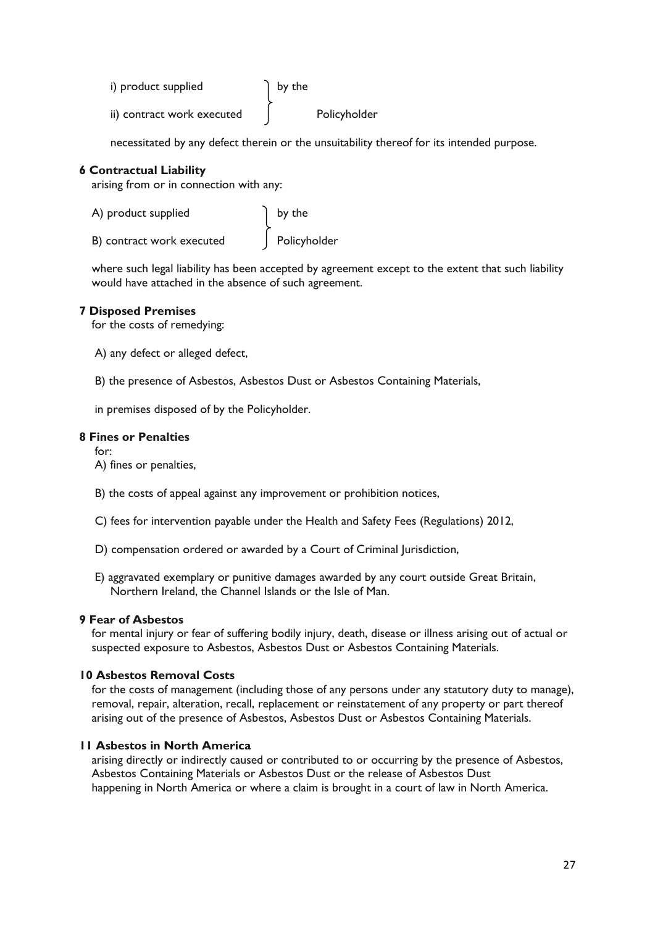- i) product supplied  $\left\{ \right.$  by the
- ii) contract work executed | Policyholder

necessitated by any defect therein or the unsuitability thereof for its intended purpose.

## **6 Contractual Liability**

arising from or in connection with any:

| A) product supplied       | by the       |
|---------------------------|--------------|
| B) contract work executed | Policyholder |

where such legal liability has been accepted by agreement except to the extent that such liability would have attached in the absence of such agreement.

## **7 Disposed Premises**

for the costs of remedying:

A) any defect or alleged defect,

B) the presence of Asbestos, Asbestos Dust or Asbestos Containing Materials,

in premises disposed of by the Policyholder.

## **8 Fines or Penalties**

for:

- A) fines or penalties,
- B) the costs of appeal against any improvement or prohibition notices,
- C) fees for intervention payable under the Health and Safety Fees (Regulations) 2012,
- D) compensation ordered or awarded by a Court of Criminal Jurisdiction,
- E) aggravated exemplary or punitive damages awarded by any court outside Great Britain, Northern Ireland, the Channel Islands or the Isle of Man.

## **9 Fear of Asbestos**

for mental injury or fear of suffering bodily injury, death, disease or illness arising out of actual or suspected exposure to Asbestos, Asbestos Dust or Asbestos Containing Materials.

## **10 Asbestos Removal Costs**

for the costs of management (including those of any persons under any statutory duty to manage), removal, repair, alteration, recall, replacement or reinstatement of any property or part thereof arising out of the presence of Asbestos, Asbestos Dust or Asbestos Containing Materials.

## **11 Asbestos in North America**

arising directly or indirectly caused or contributed to or occurring by the presence of Asbestos, Asbestos Containing Materials or Asbestos Dust or the release of Asbestos Dust happening in North America or where a claim is brought in a court of law in North America.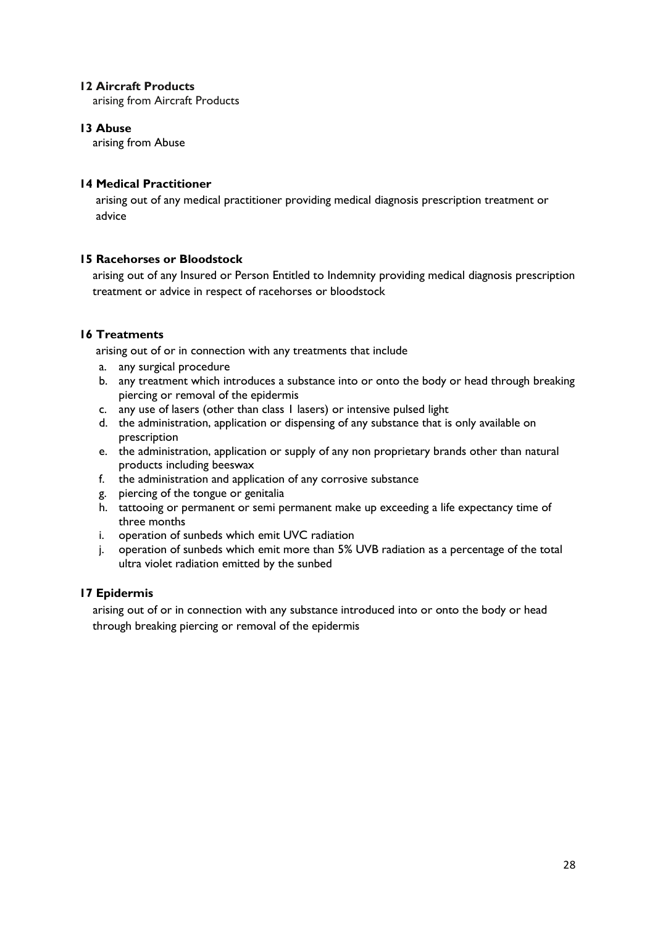## **12 Aircraft Products**

arising from Aircraft Products

## **13 Abuse**

arising from Abuse

## **14 Medical Practitioner**

 arising out of any medical practitioner providing medical diagnosis prescription treatment or advice

## **15 Racehorses or Bloodstock**

 arising out of any Insured or Person Entitled to Indemnity providing medical diagnosis prescription treatment or advice in respect of racehorses or bloodstock

## **16 Treatments**

arising out of or in connection with any treatments that include

- a. any surgical procedure
- b. any treatment which introduces a substance into or onto the body or head through breaking piercing or removal of the epidermis
- c. any use of lasers (other than class 1 lasers) or intensive pulsed light
- d. the administration, application or dispensing of any substance that is only available on prescription
- e. the administration, application or supply of any non proprietary brands other than natural products including beeswax
- f. the administration and application of any corrosive substance
- g. piercing of the tongue or genitalia
- h. tattooing or permanent or semi permanent make up exceeding a life expectancy time of three months
- i. operation of sunbeds which emit UVC radiation
- j. operation of sunbeds which emit more than 5% UVB radiation as a percentage of the total ultra violet radiation emitted by the sunbed

## **17 Epidermis**

 arising out of or in connection with any substance introduced into or onto the body or head through breaking piercing or removal of the epidermis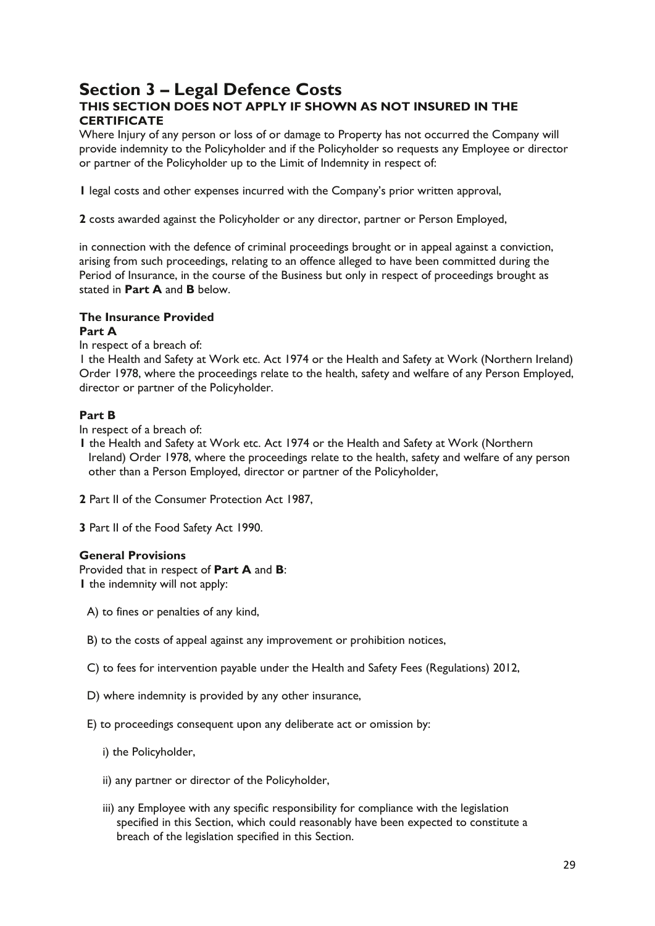## **Section 3 – Legal Defence Costs THIS SECTION DOES NOT APPLY IF SHOWN AS NOT INSURED IN THE CERTIFICATE**

Where Injury of any person or loss of or damage to Property has not occurred the Company will provide indemnity to the Policyholder and if the Policyholder so requests any Employee or director or partner of the Policyholder up to the Limit of Indemnity in respect of:

**1** legal costs and other expenses incurred with the Company's prior written approval,

**2** costs awarded against the Policyholder or any director, partner or Person Employed,

in connection with the defence of criminal proceedings brought or in appeal against a conviction, arising from such proceedings, relating to an offence alleged to have been committed during the Period of Insurance, in the course of the Business but only in respect of proceedings brought as stated in **Part A** and **B** below.

#### **The Insurance Provided Part A**

In respect of a breach of:

1 the Health and Safety at Work etc. Act 1974 or the Health and Safety at Work (Northern Ireland) Order 1978, where the proceedings relate to the health, safety and welfare of any Person Employed, director or partner of the Policyholder.

## **Part B**

In respect of a breach of:

- **1** the Health and Safety at Work etc. Act 1974 or the Health and Safety at Work (Northern Ireland) Order 1978, where the proceedings relate to the health, safety and welfare of any person other than a Person Employed, director or partner of the Policyholder,
- **2** Part II of the Consumer Protection Act 1987,
- **3** Part II of the Food Safety Act 1990.

## **General Provisions**

Provided that in respect of **Part A** and **B**: **1** the indemnity will not apply:

- A) to fines or penalties of any kind,
- B) to the costs of appeal against any improvement or prohibition notices,
- C) to fees for intervention payable under the Health and Safety Fees (Regulations) 2012,
- D) where indemnity is provided by any other insurance,
- E) to proceedings consequent upon any deliberate act or omission by:
	- i) the Policyholder,
	- ii) any partner or director of the Policyholder,
	- iii) any Employee with any specific responsibility for compliance with the legislation specified in this Section, which could reasonably have been expected to constitute a breach of the legislation specified in this Section.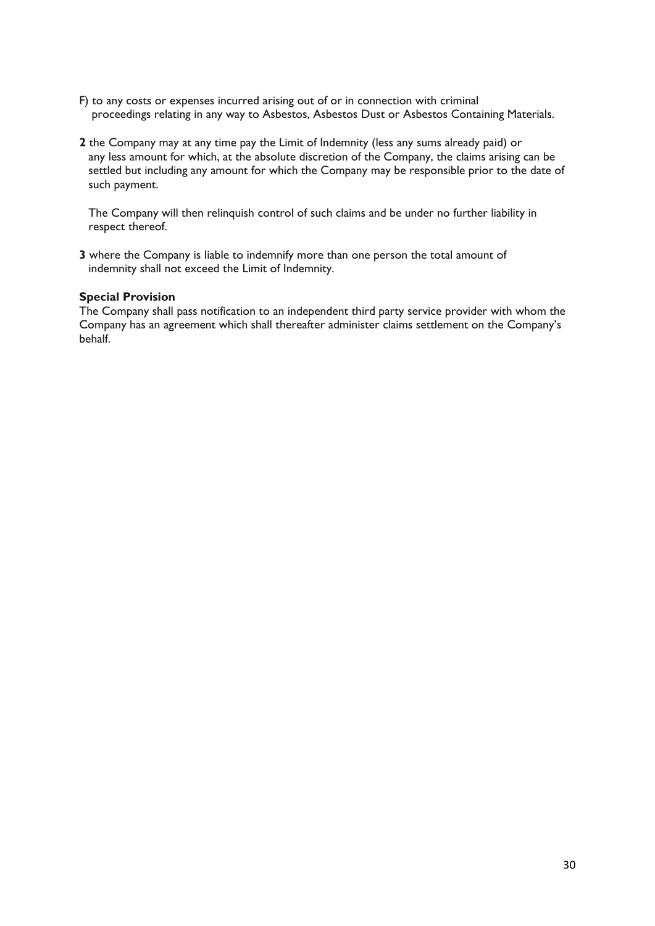- F) to any costs or expenses incurred arising out of or in connection with criminal proceedings relating in any way to Asbestos, Asbestos Dust or Asbestos Containing Materials.
- **2** the Company may at any time pay the Limit of Indemnity (less any sums already paid) or any less amount for which, at the absolute discretion of the Company, the claims arising can be settled but including any amount for which the Company may be responsible prior to the date of such payment.

The Company will then relinquish control of such claims and be under no further liability in respect thereof.

**3** where the Company is liable to indemnify more than one person the total amount of indemnity shall not exceed the Limit of Indemnity.

## **Special Provision**

The Company shall pass notification to an independent third party service provider with whom the Company has an agreement which shall thereafter administer claims settlement on the Company's behalf.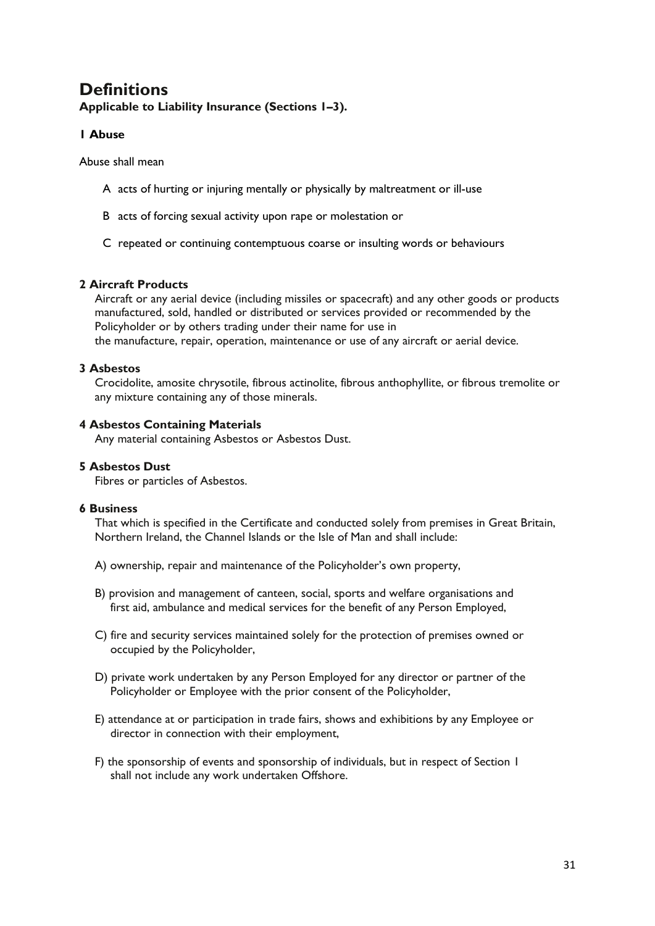## **Definitions**

**Applicable to Liability Insurance (Sections 1–3).**

## **1 Abuse**

Abuse shall mean

- A acts of hurting or injuring mentally or physically by maltreatment or ill-use
- B acts of forcing sexual activity upon rape or molestation or
- C repeated or continuing contemptuous coarse or insulting words or behaviours

## **2 Aircraft Products**

Aircraft or any aerial device (including missiles or spacecraft) and any other goods or products manufactured, sold, handled or distributed or services provided or recommended by the Policyholder or by others trading under their name for use in the manufacture, repair, operation, maintenance or use of any aircraft or aerial device.

## **3 Asbestos**

Crocidolite, amosite chrysotile, fibrous actinolite, fibrous anthophyllite, or fibrous tremolite or any mixture containing any of those minerals.

## **4 Asbestos Containing Materials**

Any material containing Asbestos or Asbestos Dust.

## **5 Asbestos Dust**

Fibres or particles of Asbestos.

## **6 Business**

That which is specified in the Certificate and conducted solely from premises in Great Britain, Northern Ireland, the Channel Islands or the Isle of Man and shall include:

- A) ownership, repair and maintenance of the Policyholder's own property,
- B) provision and management of canteen, social, sports and welfare organisations and first aid, ambulance and medical services for the benefit of any Person Employed,
- C) fire and security services maintained solely for the protection of premises owned or occupied by the Policyholder,
- D) private work undertaken by any Person Employed for any director or partner of the Policyholder or Employee with the prior consent of the Policyholder,
- E) attendance at or participation in trade fairs, shows and exhibitions by any Employee or director in connection with their employment,
- F) the sponsorship of events and sponsorship of individuals, but in respect of Section 1 shall not include any work undertaken Offshore.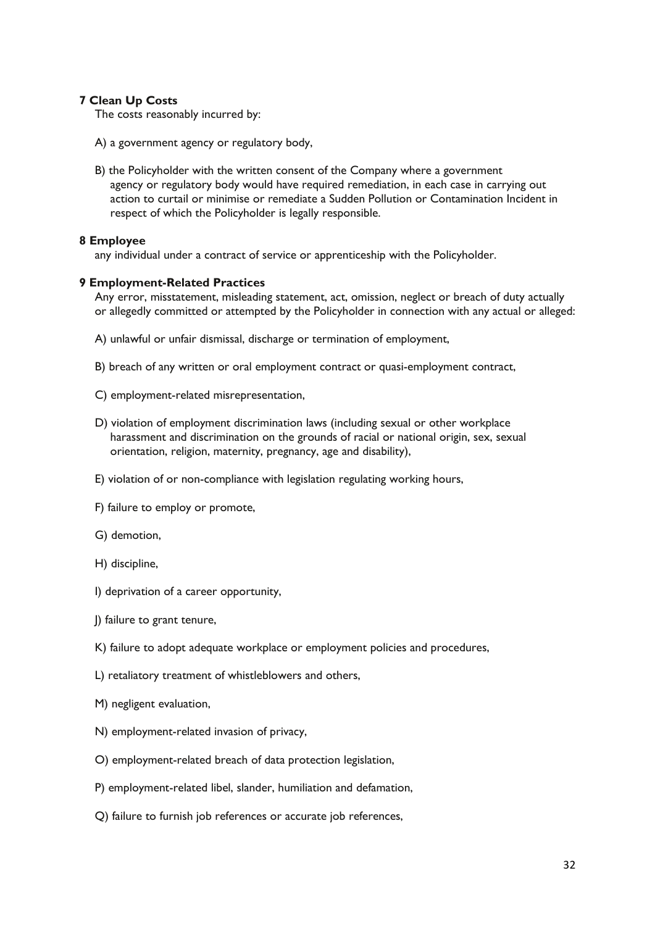## **7 Clean Up Costs**

The costs reasonably incurred by:

- A) a government agency or regulatory body,
- B) the Policyholder with the written consent of the Company where a government agency or regulatory body would have required remediation, in each case in carrying out action to curtail or minimise or remediate a Sudden Pollution or Contamination Incident in respect of which the Policyholder is legally responsible.

## **8 Employee**

any individual under a contract of service or apprenticeship with the Policyholder.

## **9 Employment-Related Practices**

Any error, misstatement, misleading statement, act, omission, neglect or breach of duty actually or allegedly committed or attempted by the Policyholder in connection with any actual or alleged:

- A) unlawful or unfair dismissal, discharge or termination of employment,
- B) breach of any written or oral employment contract or quasi-employment contract,
- C) employment-related misrepresentation,
- D) violation of employment discrimination laws (including sexual or other workplace harassment and discrimination on the grounds of racial or national origin, sex, sexual orientation, religion, maternity, pregnancy, age and disability),
- E) violation of or non-compliance with legislation regulating working hours,
- F) failure to employ or promote,
- G) demotion,
- H) discipline,
- I) deprivation of a career opportunity,
- J) failure to grant tenure,
- K) failure to adopt adequate workplace or employment policies and procedures,
- L) retaliatory treatment of whistleblowers and others,
- M) negligent evaluation,
- N) employment-related invasion of privacy,
- O) employment-related breach of data protection legislation,
- P) employment-related libel, slander, humiliation and defamation,
- Q) failure to furnish job references or accurate job references,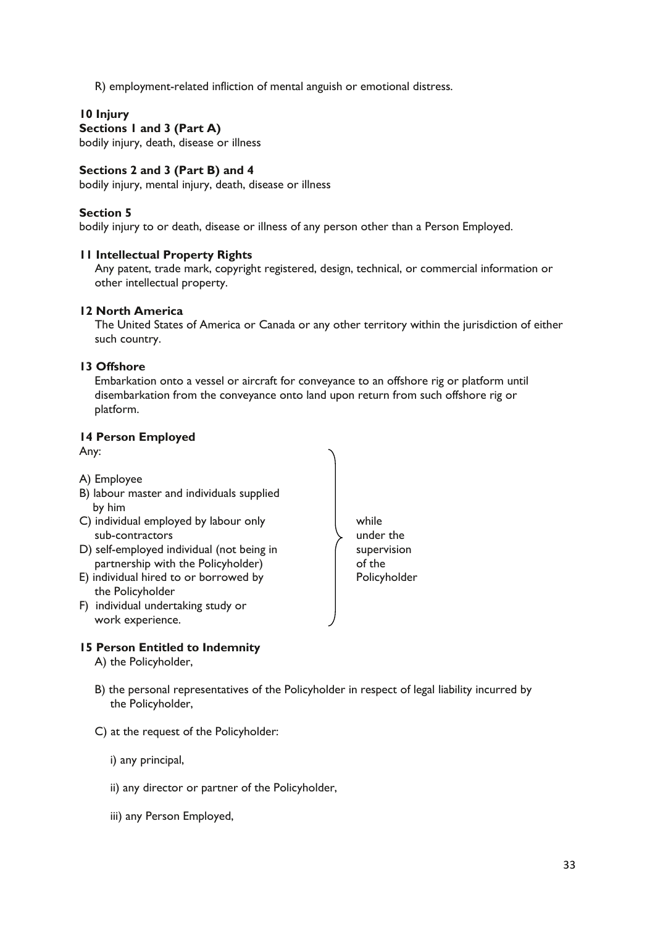R) employment-related infliction of mental anguish or emotional distress.

## **10 Injury**

## **Sections 1 and 3 (Part A)**

bodily injury, death, disease or illness

## **Sections 2 and 3 (Part B) and 4**

bodily injury, mental injury, death, disease or illness

## **Section 5**

bodily injury to or death, disease or illness of any person other than a Person Employed.

## **11 Intellectual Property Rights**

Any patent, trade mark, copyright registered, design, technical, or commercial information or other intellectual property.

## **12 North America**

The United States of America or Canada or any other territory within the jurisdiction of either such country.

## **13 Offshore**

Embarkation onto a vessel or aircraft for conveyance to an offshore rig or platform until disembarkation from the conveyance onto land upon return from such offshore rig or platform.

## **14 Person Employed**

Any:



## **15 Person Entitled to Indemnity**

A) the Policyholder,

- B) the personal representatives of the Policyholder in respect of legal liability incurred by the Policyholder,
- C) at the request of the Policyholder:

i) any principal,

- ii) any director or partner of the Policyholder,
- iii) any Person Employed,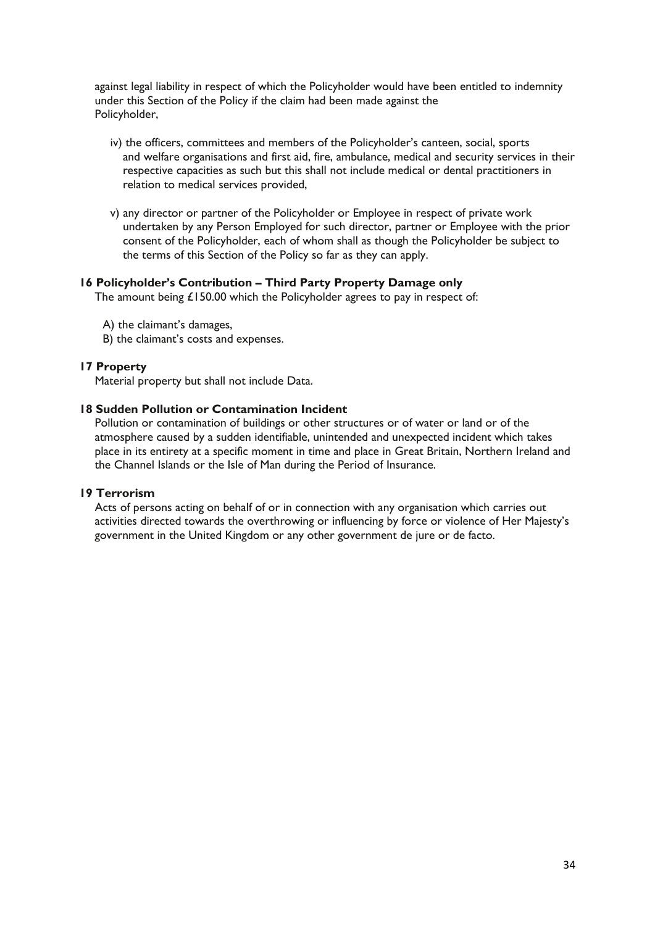against legal liability in respect of which the Policyholder would have been entitled to indemnity under this Section of the Policy if the claim had been made against the Policyholder,

- iv) the officers, committees and members of the Policyholder's canteen, social, sports and welfare organisations and first aid, fire, ambulance, medical and security services in their respective capacities as such but this shall not include medical or dental practitioners in relation to medical services provided,
- v) any director or partner of the Policyholder or Employee in respect of private work undertaken by any Person Employed for such director, partner or Employee with the prior consent of the Policyholder, each of whom shall as though the Policyholder be subject to the terms of this Section of the Policy so far as they can apply.

## **16 Policyholder's Contribution – Third Party Property Damage only**

The amount being £150.00 which the Policyholder agrees to pay in respect of:

- A) the claimant's damages,
- B) the claimant's costs and expenses.

## **17 Property**

Material property but shall not include Data.

## **18 Sudden Pollution or Contamination Incident**

Pollution or contamination of buildings or other structures or of water or land or of the atmosphere caused by a sudden identifiable, unintended and unexpected incident which takes place in its entirety at a specific moment in time and place in Great Britain, Northern Ireland and the Channel Islands or the Isle of Man during the Period of Insurance.

## **19 Terrorism**

Acts of persons acting on behalf of or in connection with any organisation which carries out activities directed towards the overthrowing or influencing by force or violence of Her Majesty's government in the United Kingdom or any other government de jure or de facto.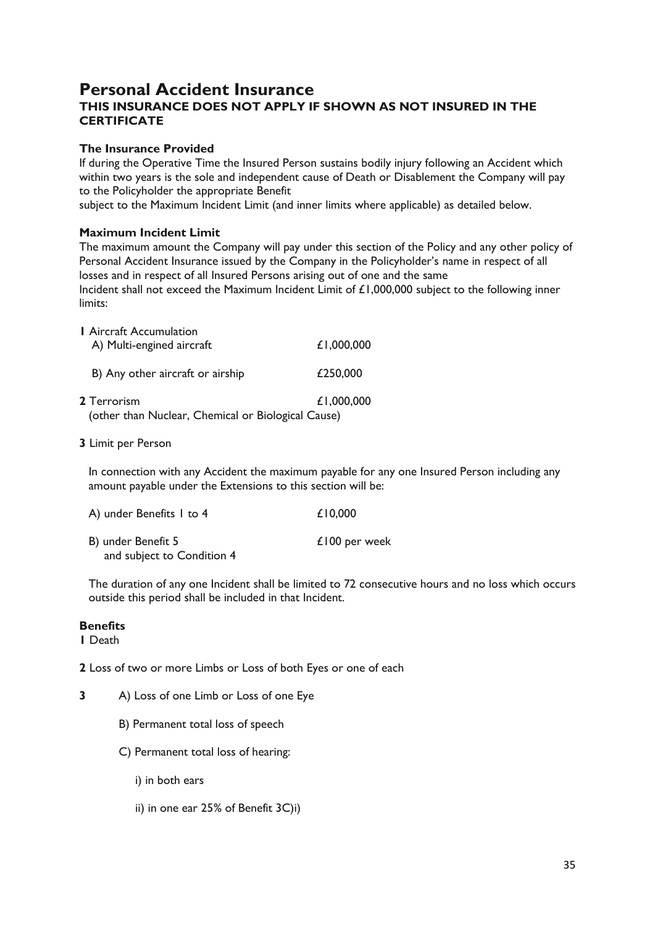## **Personal Accident Insurance THIS INSURANCE DOES NOT APPLY IF SHOWN AS NOT INSURED IN THE CERTIFICATE**

## **The Insurance Provided**

If during the Operative Time the Insured Person sustains bodily injury following an Accident which within two years is the sole and independent cause of Death or Disablement the Company will pay to the Policyholder the appropriate Benefit

subject to the Maximum Incident Limit (and inner limits where applicable) as detailed below.

## **Maximum Incident Limit**

The maximum amount the Company will pay under this section of the Policy and any other policy of Personal Accident Insurance issued by the Company in the Policyholder's name in respect of all losses and in respect of all Insured Persons arising out of one and the same Incident shall not exceed the Maximum Incident Limit of £1,000,000 subject to the following inner limits:

| <b>I</b> Aircraft Accumulation<br>A) Multi-engined aircraft              | £1,000,000 |
|--------------------------------------------------------------------------|------------|
| B) Any other aircraft or airship                                         | £250,000   |
| <b>2 Terrorism</b><br>(other than Nuclear, Chemical or Biological Cause) | £1,000,000 |

**3** Limit per Person

In connection with any Accident the maximum payable for any one Insured Person including any amount payable under the Extensions to this section will be:

| A) under Benefits I to 4   | £10,000       |
|----------------------------|---------------|
| B) under Benefit 5         | £100 per week |
| and subject to Condition 4 |               |

The duration of any one Incident shall be limited to 72 consecutive hours and no loss which occurs outside this period shall be included in that Incident.

## **Benefits**

**1** Death

**2** Loss of two or more Limbs or Loss of both Eyes or one of each

- **3** A) Loss of one Limb or Loss of one Eye
	- B) Permanent total loss of speech
	- C) Permanent total loss of hearing:
		- i) in both ears
		- ii) in one ear 25% of Benefit 3C)i)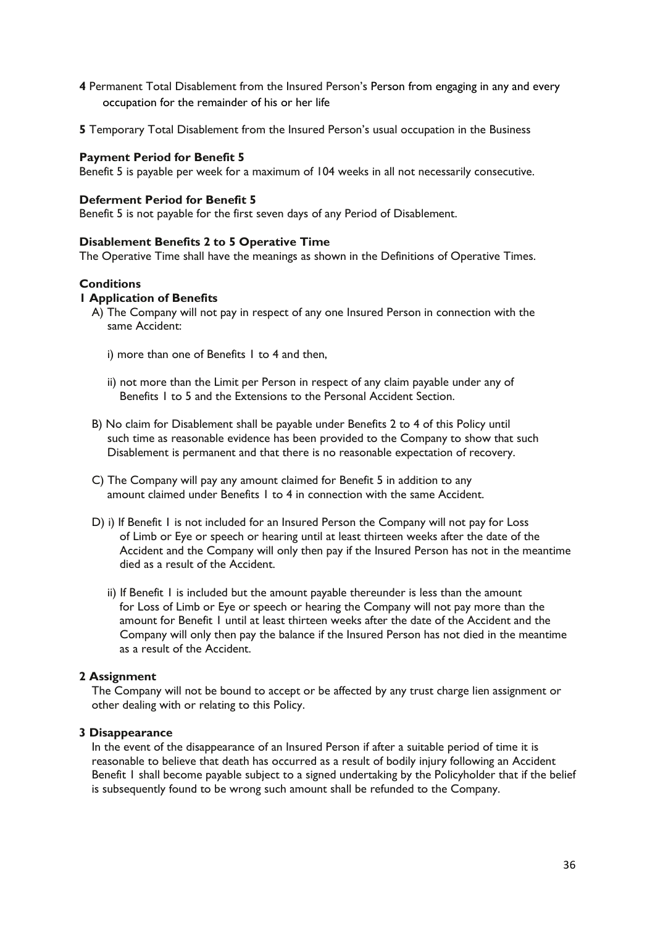- **4** Permanent Total Disablement from the Insured Person's Person from engaging in any and every occupation for the remainder of his or her life
- **5** Temporary Total Disablement from the Insured Person's usual occupation in the Business

#### **Payment Period for Benefit 5**

Benefit 5 is payable per week for a maximum of 104 weeks in all not necessarily consecutive.

#### **Deferment Period for Benefit 5**

Benefit 5 is not payable for the first seven days of any Period of Disablement.

## **Disablement Benefits 2 to 5 Operative Time**

The Operative Time shall have the meanings as shown in the Definitions of Operative Times.

## **Conditions**

## **1 Application of Benefits**

- A) The Company will not pay in respect of any one Insured Person in connection with the same Accident:
	- i) more than one of Benefits 1 to 4 and then,
	- ii) not more than the Limit per Person in respect of any claim payable under any of Benefits 1 to 5 and the Extensions to the Personal Accident Section.
- B) No claim for Disablement shall be payable under Benefits 2 to 4 of this Policy until such time as reasonable evidence has been provided to the Company to show that such Disablement is permanent and that there is no reasonable expectation of recovery.
- C) The Company will pay any amount claimed for Benefit 5 in addition to any amount claimed under Benefits 1 to 4 in connection with the same Accident.
- D) i) If Benefit 1 is not included for an Insured Person the Company will not pay for Loss of Limb or Eye or speech or hearing until at least thirteen weeks after the date of the Accident and the Company will only then pay if the Insured Person has not in the meantime died as a result of the Accident.
	- ii) If Benefit I is included but the amount payable thereunder is less than the amount for Loss of Limb or Eye or speech or hearing the Company will not pay more than the amount for Benefit 1 until at least thirteen weeks after the date of the Accident and the Company will only then pay the balance if the Insured Person has not died in the meantime as a result of the Accident.

## **2 Assignment**

The Company will not be bound to accept or be affected by any trust charge lien assignment or other dealing with or relating to this Policy.

#### **3 Disappearance**

In the event of the disappearance of an Insured Person if after a suitable period of time it is reasonable to believe that death has occurred as a result of bodily injury following an Accident Benefit 1 shall become payable subject to a signed undertaking by the Policyholder that if the belief is subsequently found to be wrong such amount shall be refunded to the Company.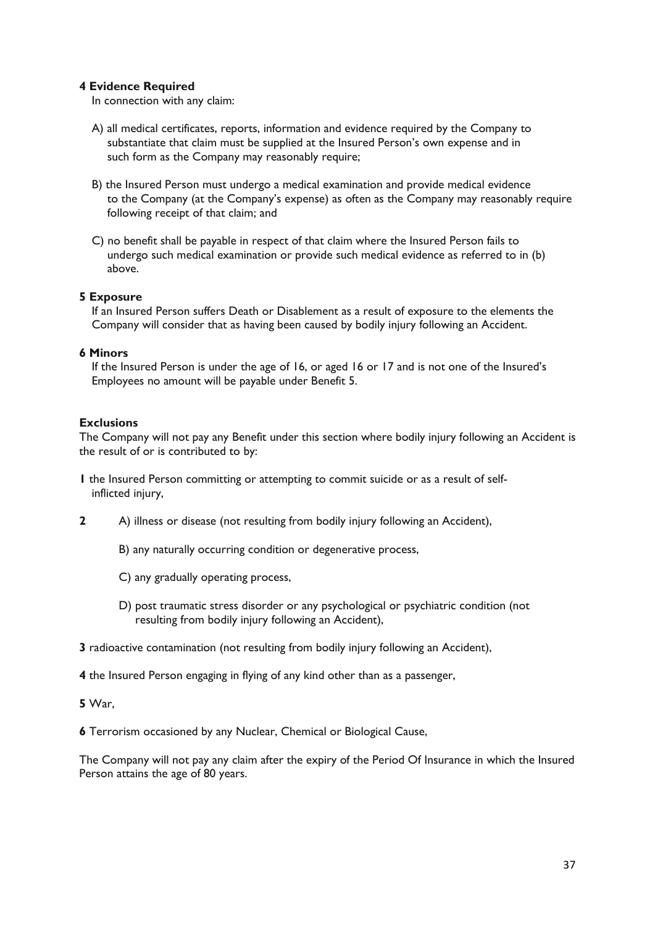## **4 Evidence Required**

In connection with any claim:

- A) all medical certificates, reports, information and evidence required by the Company to substantiate that claim must be supplied at the Insured Person's own expense and in such form as the Company may reasonably require;
- B) the Insured Person must undergo a medical examination and provide medical evidence to the Company (at the Company's expense) as often as the Company may reasonably require following receipt of that claim; and
- C) no benefit shall be payable in respect of that claim where the Insured Person fails to undergo such medical examination or provide such medical evidence as referred to in (b) above.

## **5 Exposure**

If an Insured Person suffers Death or Disablement as a result of exposure to the elements the Company will consider that as having been caused by bodily injury following an Accident.

## **6 Minors**

If the Insured Person is under the age of 16, or aged 16 or 17 and is not one of the Insured's Employees no amount will be payable under Benefit 5.

## **Exclusions**

The Company will not pay any Benefit under this section where bodily injury following an Accident is the result of or is contributed to by:

- **1** the Insured Person committing or attempting to commit suicide or as a result of selfinflicted injury,
- **2** A) illness or disease (not resulting from bodily injury following an Accident),
	- B) any naturally occurring condition or degenerative process,
	- C) any gradually operating process,
	- D) post traumatic stress disorder or any psychological or psychiatric condition (not resulting from bodily injury following an Accident),
- **3** radioactive contamination (not resulting from bodily injury following an Accident),
- **4** the Insured Person engaging in flying of any kind other than as a passenger,
- **5** War,

**6** Terrorism occasioned by any Nuclear, Chemical or Biological Cause,

The Company will not pay any claim after the expiry of the Period Of Insurance in which the Insured Person attains the age of 80 years.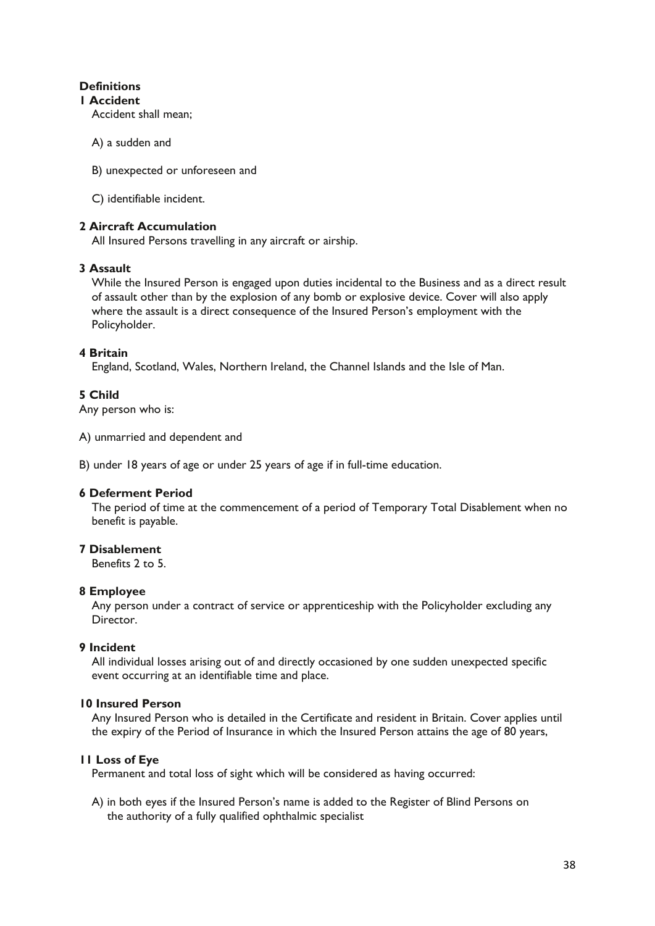## **Definitions**

## **1 Accident**

Accident shall mean;

- A) a sudden and
- B) unexpected or unforeseen and
- C) identifiable incident.

## **2 Aircraft Accumulation**

All Insured Persons travelling in any aircraft or airship.

## **3 Assault**

While the Insured Person is engaged upon duties incidental to the Business and as a direct result of assault other than by the explosion of any bomb or explosive device. Cover will also apply where the assault is a direct consequence of the Insured Person's employment with the Policyholder.

## **4 Britain**

England, Scotland, Wales, Northern Ireland, the Channel Islands and the Isle of Man.

## **5 Child**

Any person who is:

A) unmarried and dependent and

B) under 18 years of age or under 25 years of age if in full-time education.

## **6 Deferment Period**

The period of time at the commencement of a period of Temporary Total Disablement when no benefit is payable.

## **7 Disablement**

Benefits 2 to 5.

## **8 Employee**

Any person under a contract of service or apprenticeship with the Policyholder excluding any Director.

## **9 Incident**

All individual losses arising out of and directly occasioned by one sudden unexpected specific event occurring at an identifiable time and place.

## **10 Insured Person**

Any Insured Person who is detailed in the Certificate and resident in Britain. Cover applies until the expiry of the Period of Insurance in which the Insured Person attains the age of 80 years,

## **11 Loss of Eye**

Permanent and total loss of sight which will be considered as having occurred:

A) in both eyes if the Insured Person's name is added to the Register of Blind Persons on the authority of a fully qualified ophthalmic specialist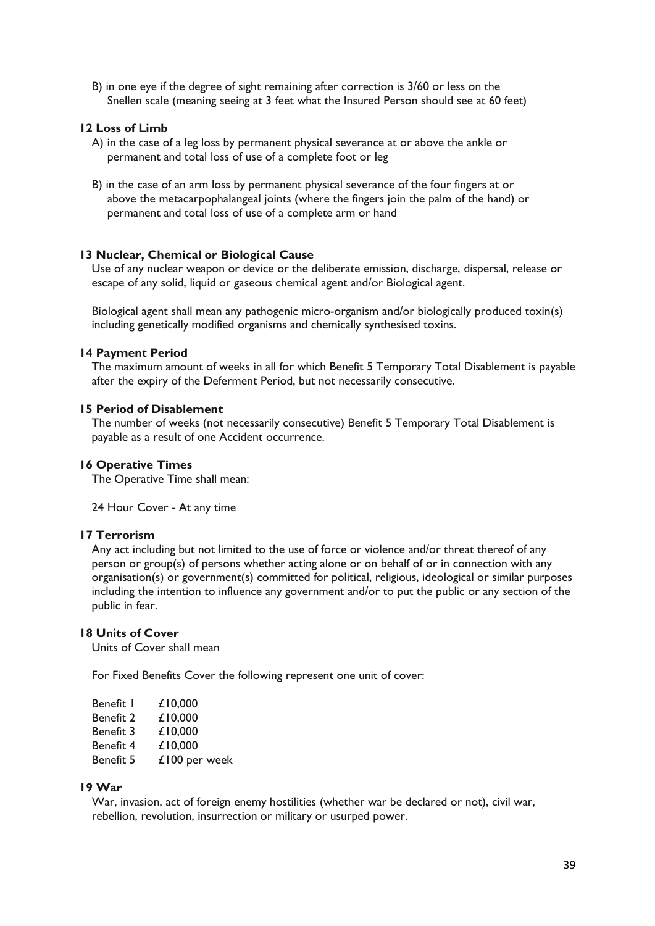B) in one eye if the degree of sight remaining after correction is 3/60 or less on the Snellen scale (meaning seeing at 3 feet what the Insured Person should see at 60 feet)

## **12 Loss of Limb**

- A) in the case of a leg loss by permanent physical severance at or above the ankle or permanent and total loss of use of a complete foot or leg
- B) in the case of an arm loss by permanent physical severance of the four fingers at or above the metacarpophalangeal joints (where the fingers join the palm of the hand) or permanent and total loss of use of a complete arm or hand

#### **13 Nuclear, Chemical or Biological Cause**

Use of any nuclear weapon or device or the deliberate emission, discharge, dispersal, release or escape of any solid, liquid or gaseous chemical agent and/or Biological agent.

Biological agent shall mean any pathogenic micro-organism and/or biologically produced toxin(s) including genetically modified organisms and chemically synthesised toxins.

#### **14 Payment Period**

The maximum amount of weeks in all for which Benefit 5 Temporary Total Disablement is payable after the expiry of the Deferment Period, but not necessarily consecutive.

#### **15 Period of Disablement**

The number of weeks (not necessarily consecutive) Benefit 5 Temporary Total Disablement is payable as a result of one Accident occurrence.

#### **16 Operative Times**

The Operative Time shall mean:

24 Hour Cover - At any time

## **17 Terrorism**

Any act including but not limited to the use of force or violence and/or threat thereof of any person or group(s) of persons whether acting alone or on behalf of or in connection with any organisation(s) or government(s) committed for political, religious, ideological or similar purposes including the intention to influence any government and/or to put the public or any section of the public in fear.

## **18 Units of Cover**

Units of Cover shall mean

For Fixed Benefits Cover the following represent one unit of cover:

| Benefit I        | £10,000       |
|------------------|---------------|
| <b>Benefit 2</b> | £10,000       |
| Benefit 3        | £10,000       |
| Benefit 4        | £10,000       |
| Benefit 5        | £100 per week |
|                  |               |

## **19 War**

War, invasion, act of foreign enemy hostilities (whether war be declared or not), civil war, rebellion, revolution, insurrection or military or usurped power.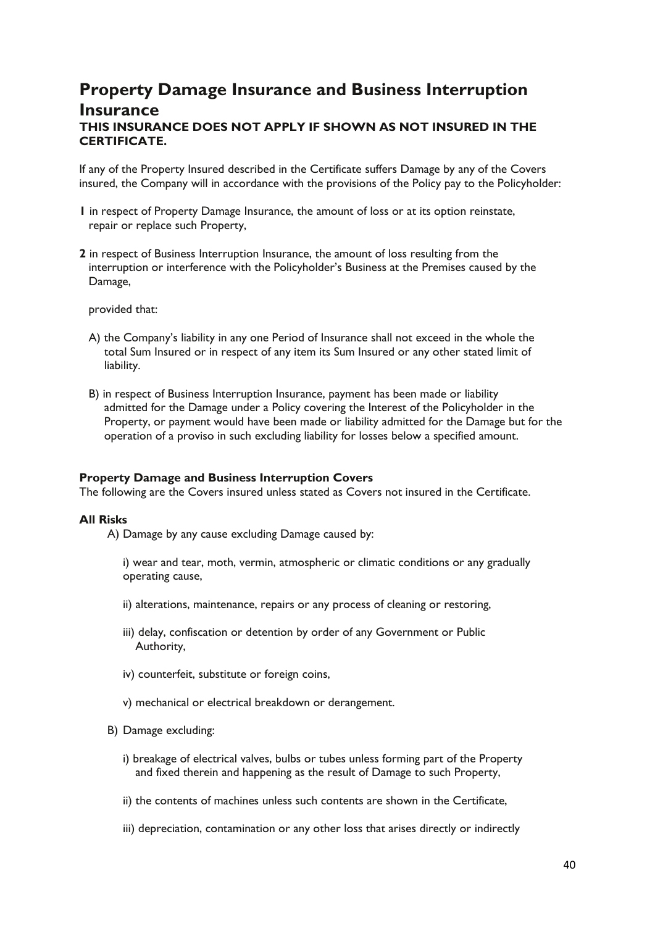## **Property Damage Insurance and Business Interruption Insurance THIS INSURANCE DOES NOT APPLY IF SHOWN AS NOT INSURED IN THE CERTIFICATE.**

If any of the Property Insured described in the Certificate suffers Damage by any of the Covers insured, the Company will in accordance with the provisions of the Policy pay to the Policyholder:

- **1** in respect of Property Damage Insurance, the amount of loss or at its option reinstate, repair or replace such Property,
- **2** in respect of Business Interruption Insurance, the amount of loss resulting from the interruption or interference with the Policyholder's Business at the Premises caused by the Damage,

provided that:

- A) the Company's liability in any one Period of Insurance shall not exceed in the whole the total Sum Insured or in respect of any item its Sum Insured or any other stated limit of liability.
- B) in respect of Business Interruption Insurance, payment has been made or liability admitted for the Damage under a Policy covering the Interest of the Policyholder in the Property, or payment would have been made or liability admitted for the Damage but for the operation of a proviso in such excluding liability for losses below a specified amount.

#### **Property Damage and Business Interruption Covers**

The following are the Covers insured unless stated as Covers not insured in the Certificate.

#### **All Risks**

A) Damage by any cause excluding Damage caused by:

i) wear and tear, moth, vermin, atmospheric or climatic conditions or any gradually operating cause,

- ii) alterations, maintenance, repairs or any process of cleaning or restoring,
- iii) delay, confiscation or detention by order of any Government or Public Authority,
- iv) counterfeit, substitute or foreign coins,
- v) mechanical or electrical breakdown or derangement.
- B) Damage excluding:
	- i) breakage of electrical valves, bulbs or tubes unless forming part of the Property and fixed therein and happening as the result of Damage to such Property,
	- ii) the contents of machines unless such contents are shown in the Certificate,
	- iii) depreciation, contamination or any other loss that arises directly or indirectly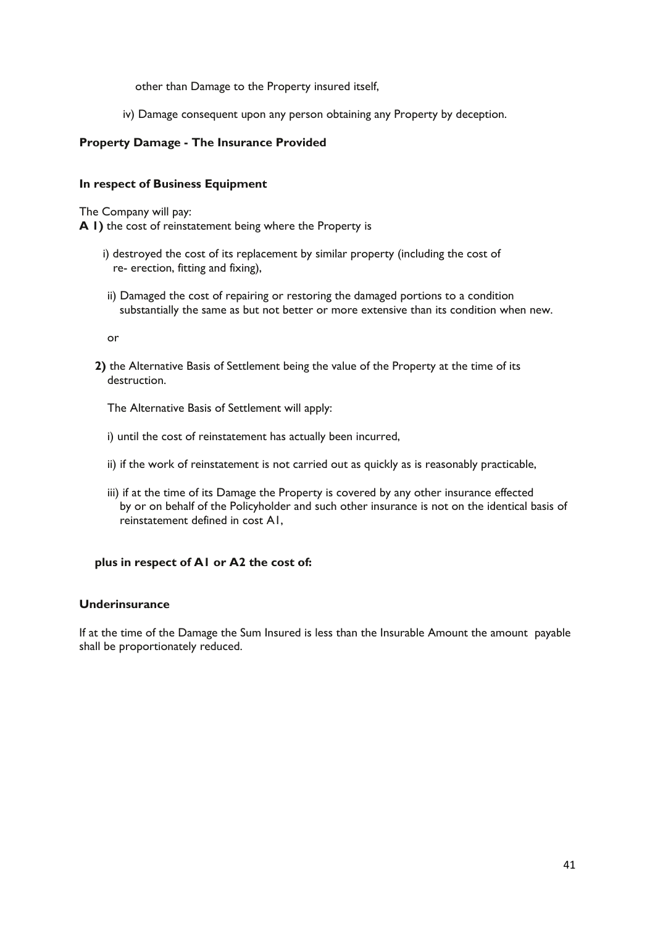other than Damage to the Property insured itself,

iv) Damage consequent upon any person obtaining any Property by deception.

## **Property Damage - The Insurance Provided**

## **In respect of Business Equipment**

The Company will pay:

**A 1)** the cost of reinstatement being where the Property is

- i) destroyed the cost of its replacement by similar property (including the cost of re- erection, fitting and fixing),
- ii) Damaged the cost of repairing or restoring the damaged portions to a condition substantially the same as but not better or more extensive than its condition when new.

or

**2)** the Alternative Basis of Settlement being the value of the Property at the time of its destruction.

The Alternative Basis of Settlement will apply:

- i) until the cost of reinstatement has actually been incurred,
- ii) if the work of reinstatement is not carried out as quickly as is reasonably practicable,
- iii) if at the time of its Damage the Property is covered by any other insurance effected by or on behalf of the Policyholder and such other insurance is not on the identical basis of reinstatement defined in cost A1,

## **plus in respect of A1 or A2 the cost of:**

## **Underinsurance**

If at the time of the Damage the Sum Insured is less than the Insurable Amount the amount payable shall be proportionately reduced.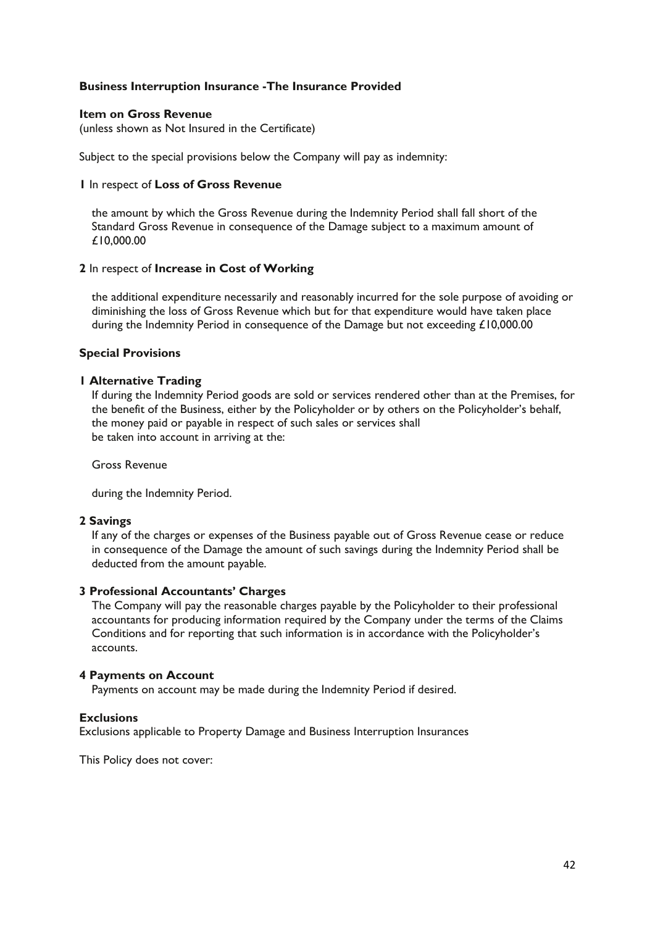## **Business Interruption Insurance -The Insurance Provided**

#### **Item on Gross Revenue**

(unless shown as Not Insured in the Certificate)

Subject to the special provisions below the Company will pay as indemnity:

#### **1** In respect of **Loss of Gross Revenue**

the amount by which the Gross Revenue during the Indemnity Period shall fall short of the Standard Gross Revenue in consequence of the Damage subject to a maximum amount of £10,000.00

#### **2** In respect of **Increase in Cost of Working**

the additional expenditure necessarily and reasonably incurred for the sole purpose of avoiding or diminishing the loss of Gross Revenue which but for that expenditure would have taken place during the Indemnity Period in consequence of the Damage but not exceeding £10,000.00

## **Special Provisions**

## **1 Alternative Trading**

If during the Indemnity Period goods are sold or services rendered other than at the Premises, for the benefit of the Business, either by the Policyholder or by others on the Policyholder's behalf, the money paid or payable in respect of such sales or services shall be taken into account in arriving at the:

Gross Revenue

during the Indemnity Period.

## **2 Savings**

If any of the charges or expenses of the Business payable out of Gross Revenue cease or reduce in consequence of the Damage the amount of such savings during the Indemnity Period shall be deducted from the amount payable.

## **3 Professional Accountants' Charges**

The Company will pay the reasonable charges payable by the Policyholder to their professional accountants for producing information required by the Company under the terms of the Claims Conditions and for reporting that such information is in accordance with the Policyholder's accounts.

## **4 Payments on Account**

Payments on account may be made during the Indemnity Period if desired.

## **Exclusions**

Exclusions applicable to Property Damage and Business Interruption Insurances

This Policy does not cover: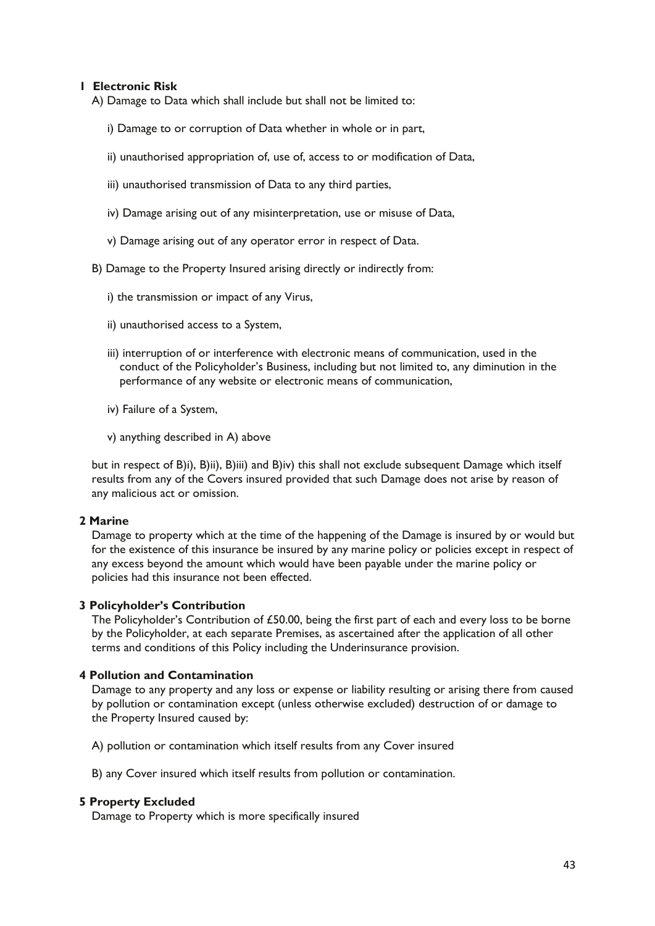## **1 Electronic Risk**

A) Damage to Data which shall include but shall not be limited to:

- i) Damage to or corruption of Data whether in whole or in part,
- ii) unauthorised appropriation of, use of, access to or modification of Data,
- iii) unauthorised transmission of Data to any third parties,
- iv) Damage arising out of any misinterpretation, use or misuse of Data,
- v) Damage arising out of any operator error in respect of Data.
- B) Damage to the Property Insured arising directly or indirectly from:
	- i) the transmission or impact of any Virus,
	- ii) unauthorised access to a System,
	- iii) interruption of or interference with electronic means of communication, used in the conduct of the Policyholder's Business, including but not limited to, any diminution in the performance of any website or electronic means of communication,
	- iv) Failure of a System,
	- v) anything described in A) above

but in respect of B)i), B)ii), B)iii) and B)iv) this shall not exclude subsequent Damage which itself results from any of the Covers insured provided that such Damage does not arise by reason of any malicious act or omission.

## **2 Marine**

Damage to property which at the time of the happening of the Damage is insured by or would but for the existence of this insurance be insured by any marine policy or policies except in respect of any excess beyond the amount which would have been payable under the marine policy or policies had this insurance not been effected.

## **3 Policyholder's Contribution**

The Policyholder's Contribution of £50.00, being the first part of each and every loss to be borne by the Policyholder, at each separate Premises, as ascertained after the application of all other terms and conditions of this Policy including the Underinsurance provision.

## **4 Pollution and Contamination**

Damage to any property and any loss or expense or liability resulting or arising there from caused by pollution or contamination except (unless otherwise excluded) destruction of or damage to the Property Insured caused by:

A) pollution or contamination which itself results from any Cover insured

B) any Cover insured which itself results from pollution or contamination.

#### **5 Property Excluded**

Damage to Property which is more specifically insured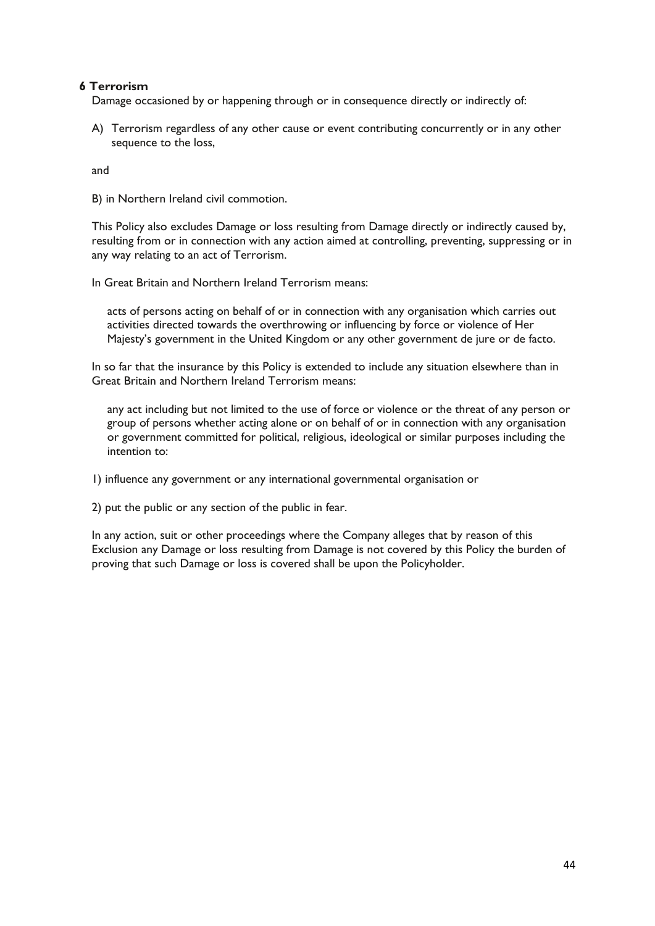## **6 Terrorism**

Damage occasioned by or happening through or in consequence directly or indirectly of:

A) Terrorism regardless of any other cause or event contributing concurrently or in any other sequence to the loss,

and

B) in Northern Ireland civil commotion.

This Policy also excludes Damage or loss resulting from Damage directly or indirectly caused by, resulting from or in connection with any action aimed at controlling, preventing, suppressing or in any way relating to an act of Terrorism.

In Great Britain and Northern Ireland Terrorism means:

acts of persons acting on behalf of or in connection with any organisation which carries out activities directed towards the overthrowing or influencing by force or violence of Her Majesty's government in the United Kingdom or any other government de jure or de facto.

In so far that the insurance by this Policy is extended to include any situation elsewhere than in Great Britain and Northern Ireland Terrorism means:

any act including but not limited to the use of force or violence or the threat of any person or group of persons whether acting alone or on behalf of or in connection with any organisation or government committed for political, religious, ideological or similar purposes including the intention to:

1) influence any government or any international governmental organisation or

2) put the public or any section of the public in fear.

In any action, suit or other proceedings where the Company alleges that by reason of this Exclusion any Damage or loss resulting from Damage is not covered by this Policy the burden of proving that such Damage or loss is covered shall be upon the Policyholder.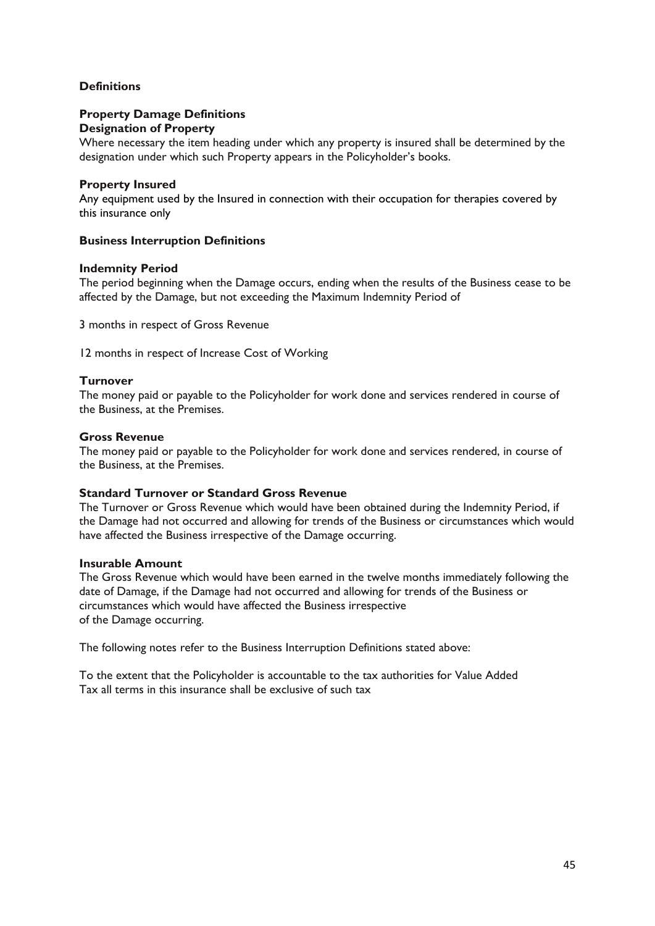## **Definitions**

#### **Property Damage Definitions Designation of Property**

Where necessary the item heading under which any property is insured shall be determined by the designation under which such Property appears in the Policyholder's books.

## **Property Insured**

Any equipment used by the Insured in connection with their occupation for therapies covered by this insurance only

## **Business Interruption Definitions**

## **Indemnity Period**

The period beginning when the Damage occurs, ending when the results of the Business cease to be affected by the Damage, but not exceeding the Maximum Indemnity Period of

3 months in respect of Gross Revenue

12 months in respect of Increase Cost of Working

## **Turnover**

The money paid or payable to the Policyholder for work done and services rendered in course of the Business, at the Premises.

## **Gross Revenue**

The money paid or payable to the Policyholder for work done and services rendered, in course of the Business, at the Premises.

## **Standard Turnover or Standard Gross Revenue**

The Turnover or Gross Revenue which would have been obtained during the Indemnity Period, if the Damage had not occurred and allowing for trends of the Business or circumstances which would have affected the Business irrespective of the Damage occurring.

## **Insurable Amount**

The Gross Revenue which would have been earned in the twelve months immediately following the date of Damage, if the Damage had not occurred and allowing for trends of the Business or circumstances which would have affected the Business irrespective of the Damage occurring.

The following notes refer to the Business Interruption Definitions stated above:

To the extent that the Policyholder is accountable to the tax authorities for Value Added Tax all terms in this insurance shall be exclusive of such tax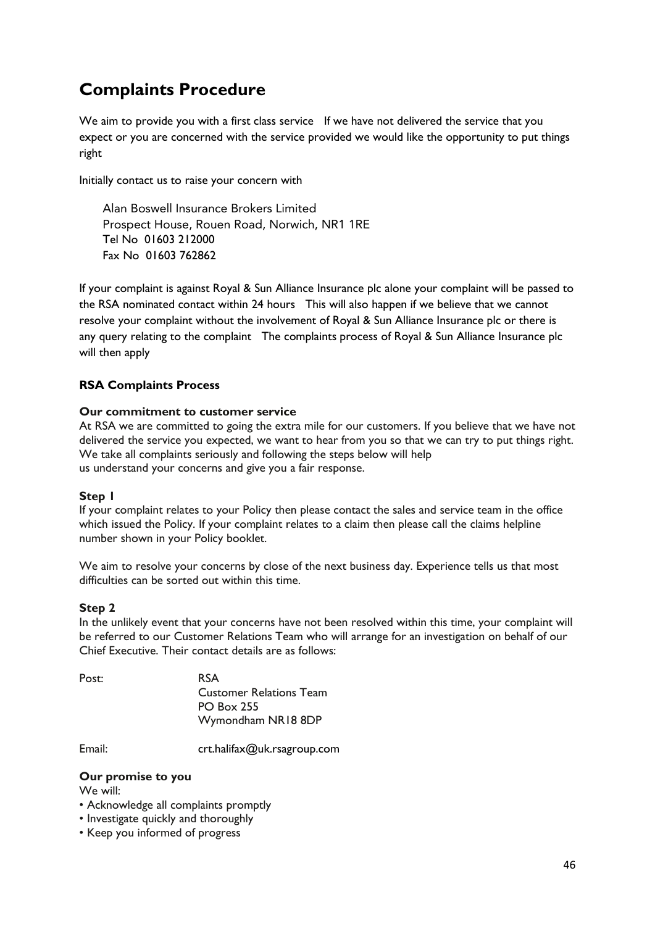## **Complaints Procedure**

We aim to provide you with a first class service If we have not delivered the service that you expect or you are concerned with the service provided we would like the opportunity to put things right

Initially contact us to raise your concern with

Alan Boswell Insurance Brokers Limited Prospect House, Rouen Road, Norwich, NR1 1RE Tel No 01603 212000 Fax No 01603 762862

If your complaint is against Royal & Sun Alliance Insurance plc alone your complaint will be passed to the RSA nominated contact within 24 hours This will also happen if we believe that we cannot resolve your complaint without the involvement of Royal & Sun Alliance Insurance plc or there is any query relating to the complaint The complaints process of Royal & Sun Alliance Insurance plc will then apply

## **RSA Complaints Process**

## **Our commitment to customer service**

At RSA we are committed to going the extra mile for our customers. If you believe that we have not delivered the service you expected, we want to hear from you so that we can try to put things right. We take all complaints seriously and following the steps below will help us understand your concerns and give you a fair response.

## **Step 1**

If your complaint relates to your Policy then please contact the sales and service team in the office which issued the Policy. If your complaint relates to a claim then please call the claims helpline number shown in your Policy booklet.

We aim to resolve your concerns by close of the next business day. Experience tells us that most difficulties can be sorted out within this time.

## **Step 2**

In the unlikely event that your concerns have not been resolved within this time, your complaint will be referred to our Customer Relations Team who will arrange for an investigation on behalf of our Chief Executive. Their contact details are as follows:

| Post: | <b>RSA</b>                     |
|-------|--------------------------------|
|       | <b>Customer Relations Team</b> |
|       | <b>PO Box 255</b>              |
|       | Wymondham NR18 8DP             |
|       |                                |

Email: [crt.halifax@uk.rsagroup.com](mailto:crt.halifax@uk.rsagroup.com)

## **Our promise to you**

We will:

- Acknowledge all complaints promptly
- Investigate quickly and thoroughly
- Keep you informed of progress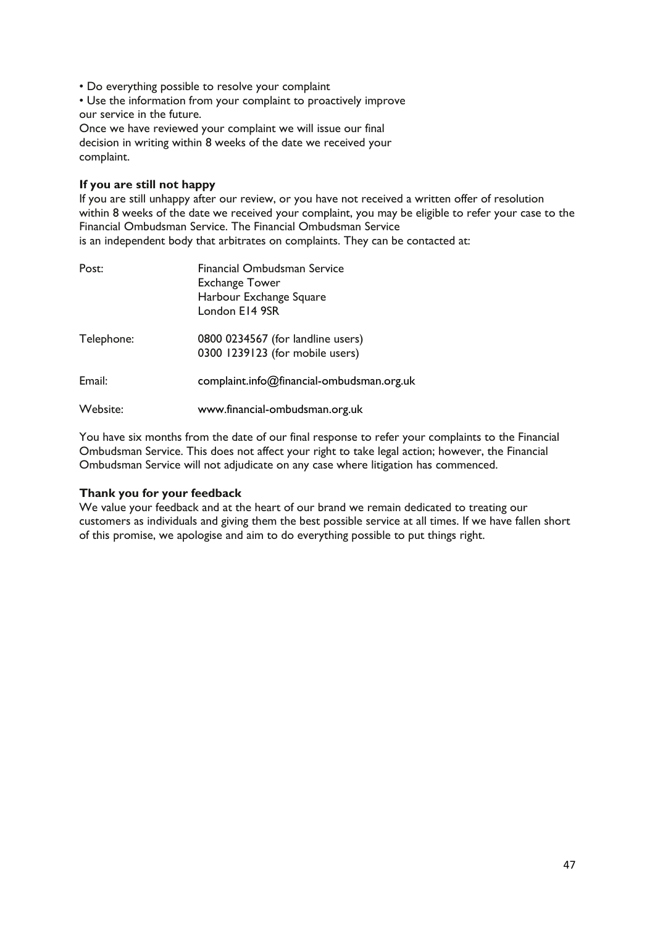• Do everything possible to resolve your complaint

• Use the information from your complaint to proactively improve our service in the future.

Once we have reviewed your complaint we will issue our final decision in writing within 8 weeks of the date we received your complaint.

## **If you are still not happy**

If you are still unhappy after our review, or you have not received a written offer of resolution within 8 weeks of the date we received your complaint, you may be eligible to refer your case to the Financial Ombudsman Service. The Financial Ombudsman Service is an independent body that arbitrates on complaints. They can be contacted at:

| Post:      | Financial Ombudsman Service<br><b>Exchange Tower</b><br>Harbour Exchange Square<br>London E14 9SR |
|------------|---------------------------------------------------------------------------------------------------|
| Telephone: | 0800 0234567 (for landline users)<br>0300 1239123 (for mobile users)                              |
| Email:     | complaint.info@financial-ombudsman.org.uk                                                         |
| Website:   | www.financial-ombudsman.org.uk                                                                    |

You have six months from the date of our final response to refer your complaints to the Financial Ombudsman Service. This does not affect your right to take legal action; however, the Financial Ombudsman Service will not adjudicate on any case where litigation has commenced.

## **Thank you for your feedback**

We value your feedback and at the heart of our brand we remain dedicated to treating our customers as individuals and giving them the best possible service at all times. If we have fallen short of this promise, we apologise and aim to do everything possible to put things right.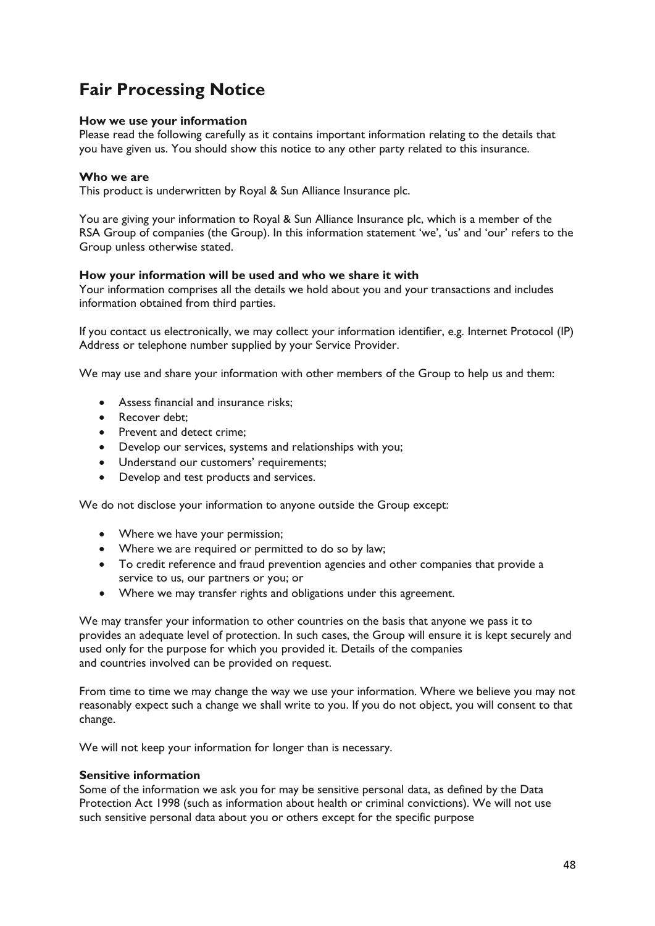## **Fair Processing Notice**

## **How we use your information**

Please read the following carefully as it contains important information relating to the details that you have given us. You should show this notice to any other party related to this insurance.

## **Who we are**

This product is underwritten by Royal & Sun Alliance Insurance plc.

You are giving your information to Royal & Sun Alliance Insurance plc, which is a member of the RSA Group of companies (the Group). In this information statement 'we', 'us' and 'our' refers to the Group unless otherwise stated.

## **How your information will be used and who we share it with**

Your information comprises all the details we hold about you and your transactions and includes information obtained from third parties.

If you contact us electronically, we may collect your information identifier, e.g. Internet Protocol (IP) Address or telephone number supplied by your Service Provider.

We may use and share your information with other members of the Group to help us and them:

- Assess financial and insurance risks;
- Recover debt:
- Prevent and detect crime;
- Develop our services, systems and relationships with you;
- Understand our customers' requirements;
- Develop and test products and services.

We do not disclose your information to anyone outside the Group except:

- Where we have your permission;
- Where we are required or permitted to do so by law;
- To credit reference and fraud prevention agencies and other companies that provide a service to us, our partners or you; or
- Where we may transfer rights and obligations under this agreement.

We may transfer your information to other countries on the basis that anyone we pass it to provides an adequate level of protection. In such cases, the Group will ensure it is kept securely and used only for the purpose for which you provided it. Details of the companies and countries involved can be provided on request.

From time to time we may change the way we use your information. Where we believe you may not reasonably expect such a change we shall write to you. If you do not object, you will consent to that change.

We will not keep your information for longer than is necessary.

## **Sensitive information**

Some of the information we ask you for may be sensitive personal data, as defined by the Data Protection Act 1998 (such as information about health or criminal convictions). We will not use such sensitive personal data about you or others except for the specific purpose